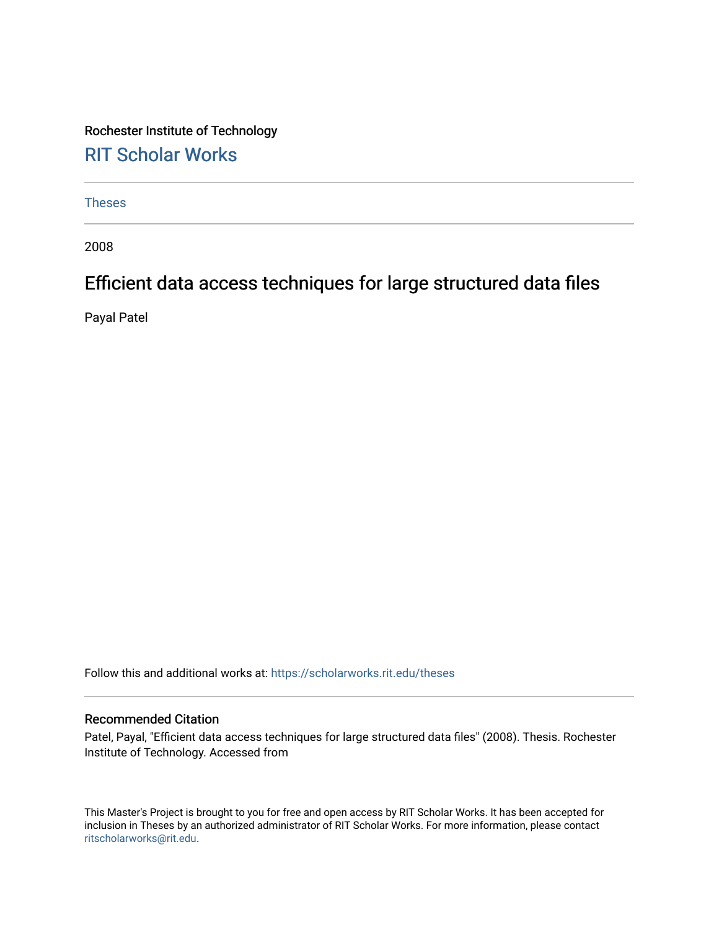Rochester Institute of Technology [RIT Scholar Works](https://scholarworks.rit.edu/)

[Theses](https://scholarworks.rit.edu/theses) 

2008

# Efficient data access techniques for large structured data files

Payal Patel

Follow this and additional works at: [https://scholarworks.rit.edu/theses](https://scholarworks.rit.edu/theses?utm_source=scholarworks.rit.edu%2Ftheses%2F6931&utm_medium=PDF&utm_campaign=PDFCoverPages) 

#### Recommended Citation

Patel, Payal, "Efficient data access techniques for large structured data files" (2008). Thesis. Rochester Institute of Technology. Accessed from

This Master's Project is brought to you for free and open access by RIT Scholar Works. It has been accepted for inclusion in Theses by an authorized administrator of RIT Scholar Works. For more information, please contact [ritscholarworks@rit.edu](mailto:ritscholarworks@rit.edu).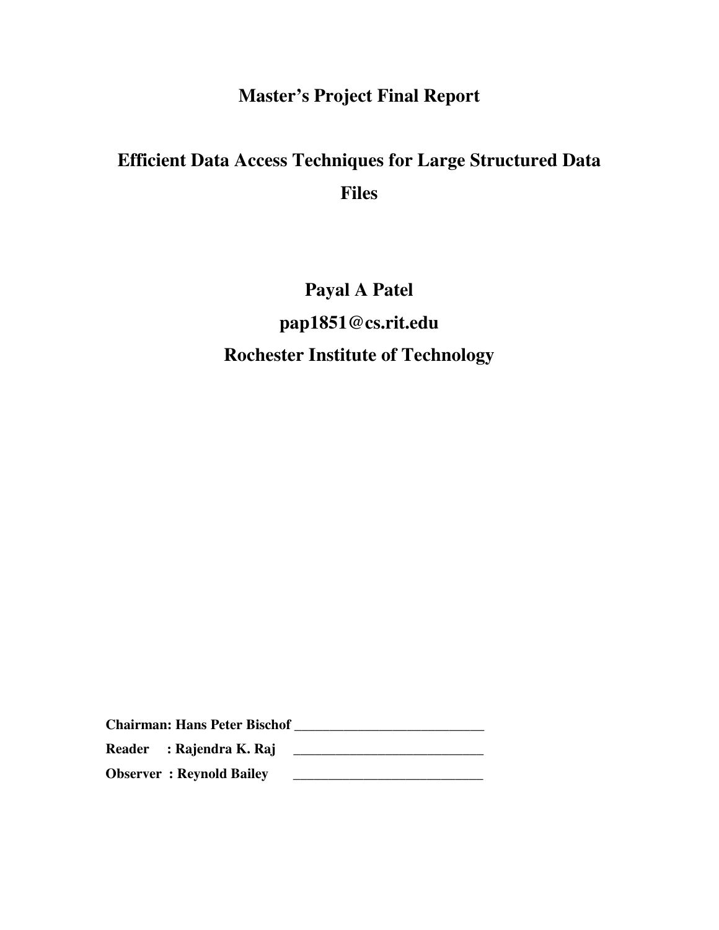# **Master's Project Final Report**

# **Efficient Data Access Techniques for Large Structured Data Files**

# **Payal A Patel pap1851@cs.rit.edu Rochester Institute of Technology**

**Chairman: Hans Peter Bischof \_\_\_\_\_\_\_\_\_\_\_\_\_\_\_\_\_\_\_\_\_\_\_\_\_\_\_**  Reader : Rajendra K. Raj **\_\_\_\_\_\_\_\_\_\_\_\_\_\_\_\_\_\_\_\_\_\_\_\_ Observer : Reynold Bailey \_\_\_\_\_\_\_\_\_\_\_\_\_\_\_\_\_\_\_\_\_\_\_\_\_\_\_**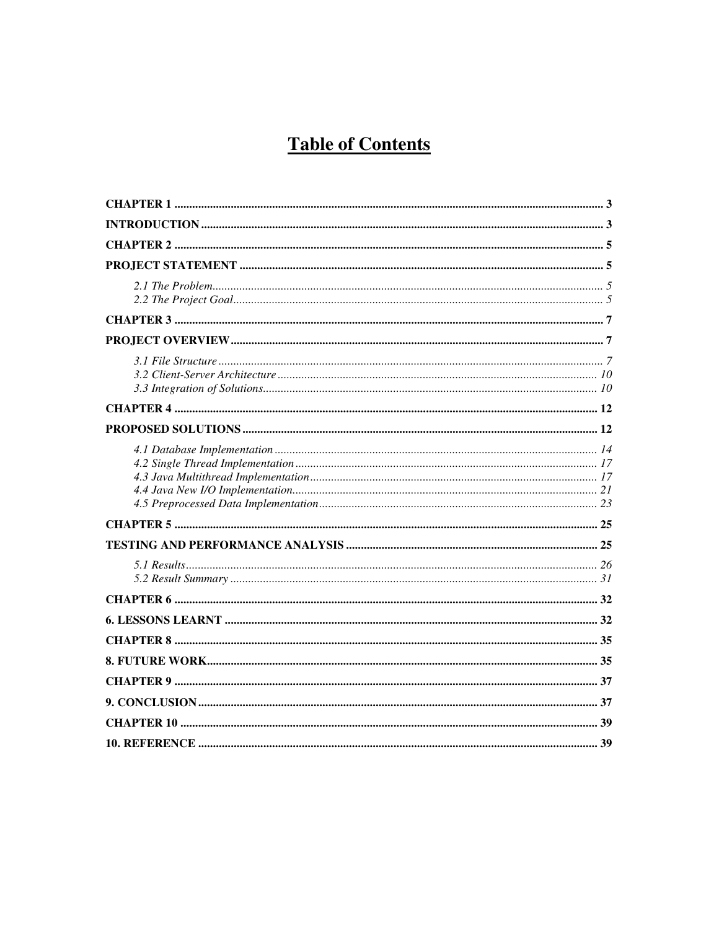# **Table of Contents**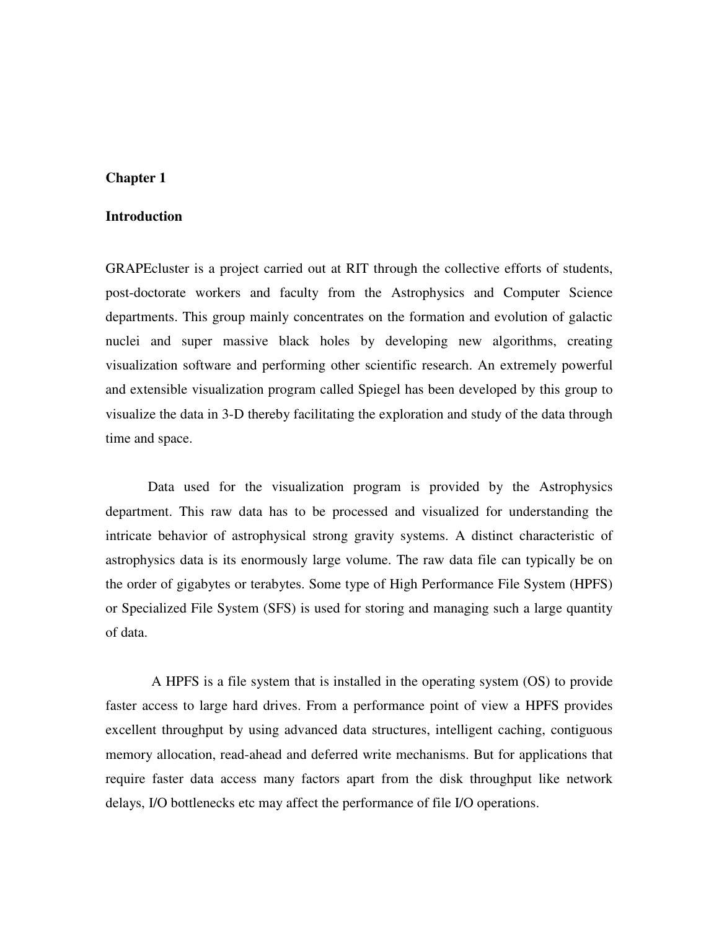#### **Introduction**

GRAPEcluster is a project carried out at RIT through the collective efforts of students, post-doctorate workers and faculty from the Astrophysics and Computer Science departments. This group mainly concentrates on the formation and evolution of galactic nuclei and super massive black holes by developing new algorithms, creating visualization software and performing other scientific research. An extremely powerful and extensible visualization program called Spiegel has been developed by this group to visualize the data in 3-D thereby facilitating the exploration and study of the data through time and space.

Data used for the visualization program is provided by the Astrophysics department. This raw data has to be processed and visualized for understanding the intricate behavior of astrophysical strong gravity systems. A distinct characteristic of astrophysics data is its enormously large volume. The raw data file can typically be on the order of gigabytes or terabytes. Some type of High Performance File System (HPFS) or Specialized File System (SFS) is used for storing and managing such a large quantity of data.

 A HPFS is a file system that is installed in the operating system (OS) to provide faster access to large hard drives. From a performance point of view a HPFS provides excellent throughput by using advanced data structures, intelligent caching, contiguous memory allocation, read-ahead and deferred write mechanisms. But for applications that require faster data access many factors apart from the disk throughput like network delays, I/O bottlenecks etc may affect the performance of file I/O operations.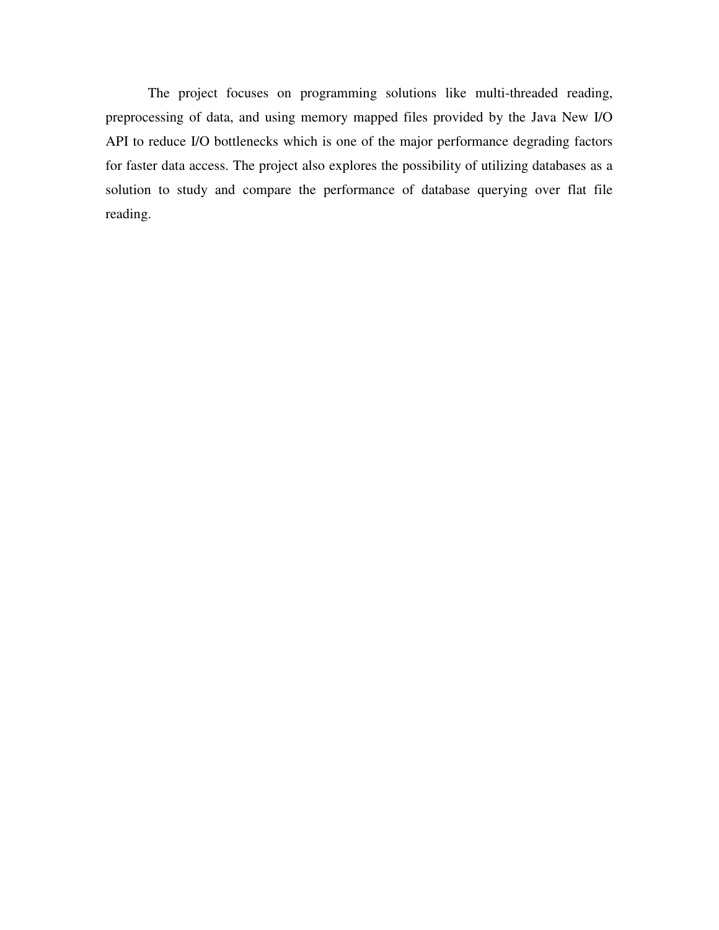The project focuses on programming solutions like multi-threaded reading, preprocessing of data, and using memory mapped files provided by the Java New I/O API to reduce I/O bottlenecks which is one of the major performance degrading factors for faster data access. The project also explores the possibility of utilizing databases as a solution to study and compare the performance of database querying over flat file reading.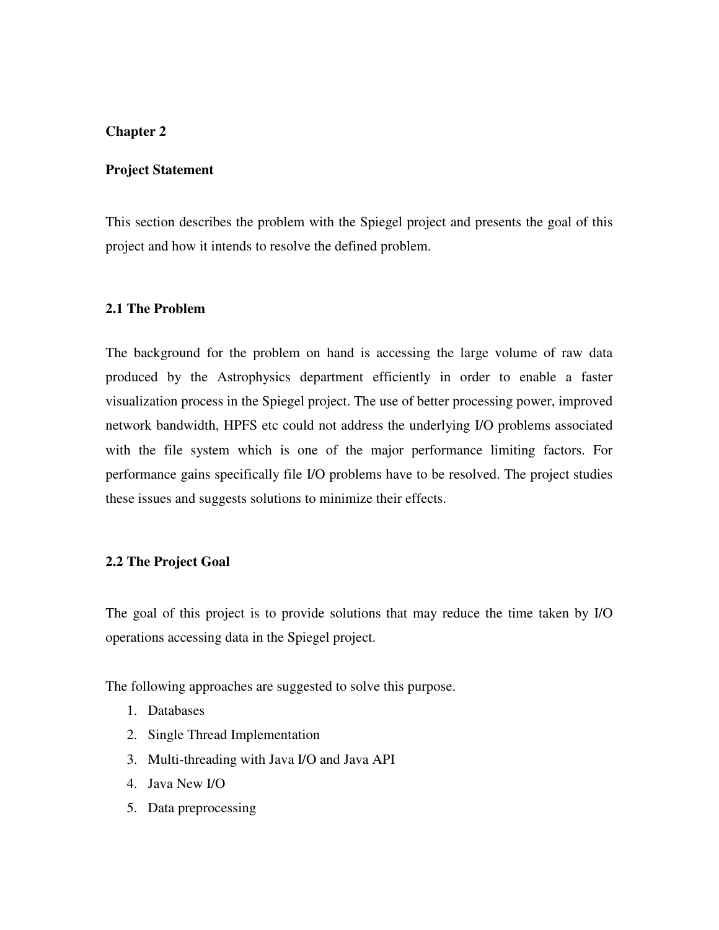### **Project Statement**

This section describes the problem with the Spiegel project and presents the goal of this project and how it intends to resolve the defined problem.

#### **2.1 The Problem**

The background for the problem on hand is accessing the large volume of raw data produced by the Astrophysics department efficiently in order to enable a faster visualization process in the Spiegel project. The use of better processing power, improved network bandwidth, HPFS etc could not address the underlying I/O problems associated with the file system which is one of the major performance limiting factors. For performance gains specifically file I/O problems have to be resolved. The project studies these issues and suggests solutions to minimize their effects.

# **2.2 The Project Goal**

The goal of this project is to provide solutions that may reduce the time taken by I/O operations accessing data in the Spiegel project.

The following approaches are suggested to solve this purpose.

- 1. Databases
- 2. Single Thread Implementation
- 3. Multi-threading with Java I/O and Java API
- 4. Java New I/O
- 5. Data preprocessing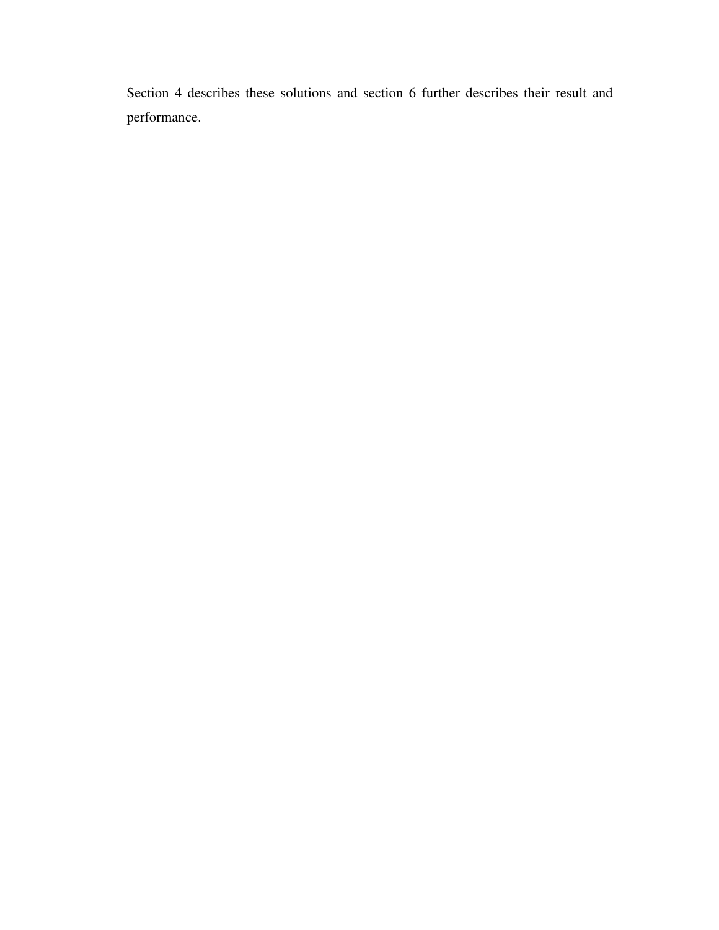Section 4 describes these solutions and section 6 further describes their result and performance.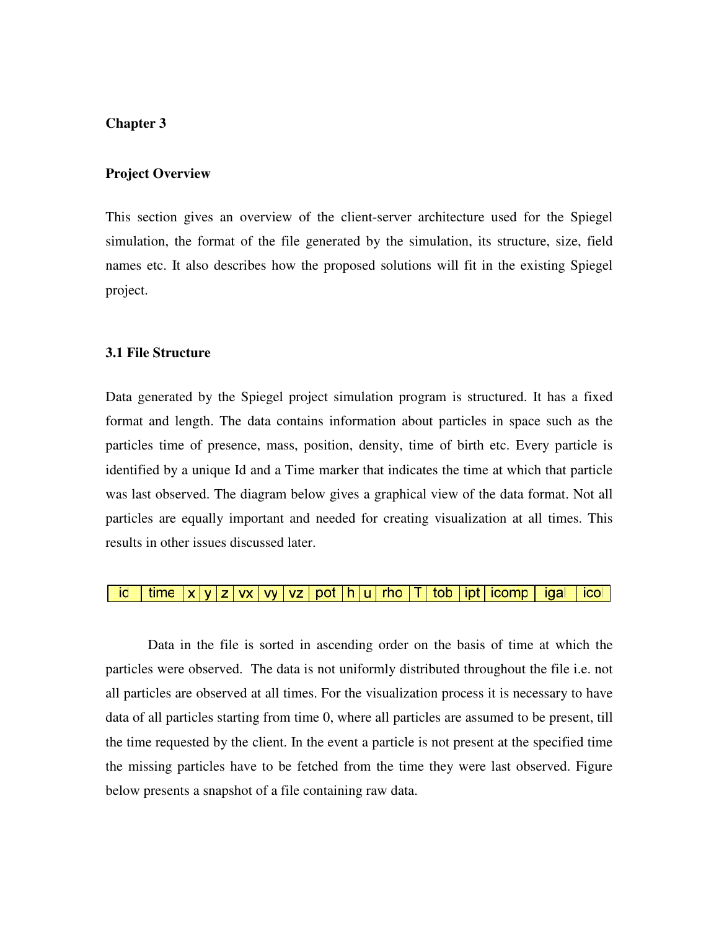#### **Project Overview**

This section gives an overview of the client-server architecture used for the Spiegel simulation, the format of the file generated by the simulation, its structure, size, field names etc. It also describes how the proposed solutions will fit in the existing Spiegel project.

#### **3.1 File Structure**

Data generated by the Spiegel project simulation program is structured. It has a fixed format and length. The data contains information about particles in space such as the particles time of presence, mass, position, density, time of birth etc. Every particle is identified by a unique Id and a Time marker that indicates the time at which that particle was last observed. The diagram below gives a graphical view of the data format. Not all particles are equally important and needed for creating visualization at all times. This results in other issues discussed later.

#### id  $time |x|y|z|vx|vy|vz|pot|h|u|rho|T|$ tob | ipt | icomp igal icol

Data in the file is sorted in ascending order on the basis of time at which the particles were observed. The data is not uniformly distributed throughout the file i.e. not all particles are observed at all times. For the visualization process it is necessary to have data of all particles starting from time 0, where all particles are assumed to be present, till the time requested by the client. In the event a particle is not present at the specified time the missing particles have to be fetched from the time they were last observed. Figure below presents a snapshot of a file containing raw data.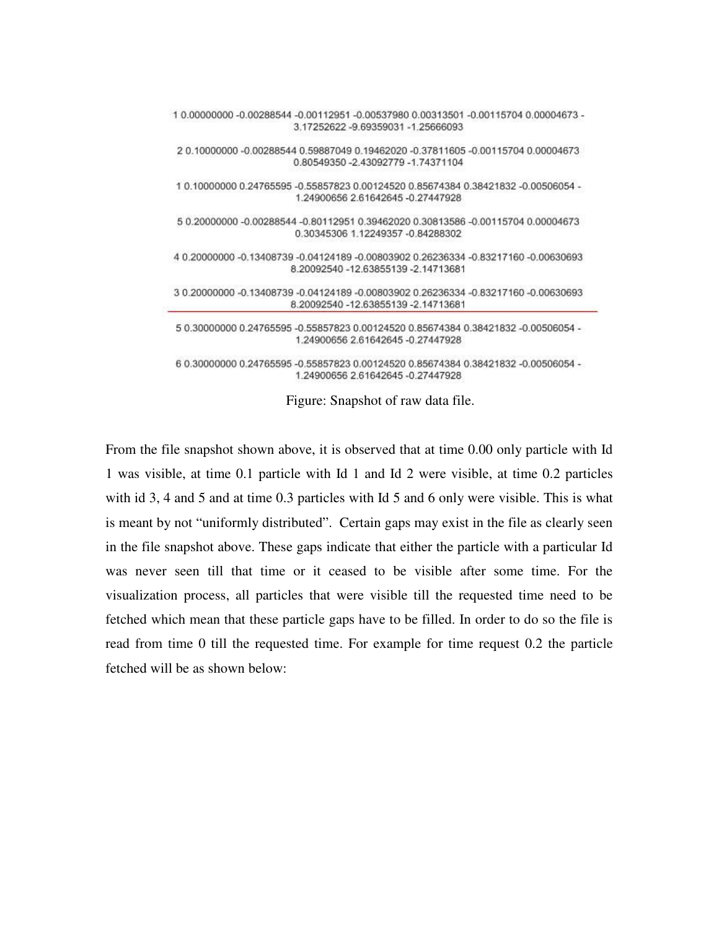| 1 0.00000000 -0.00288544 -0.00112951 -0.00537980 0.00313501 -0.00115704 0.00004673 -<br>3.17252622 -9.69359031 -1.25666093 |  |
|----------------------------------------------------------------------------------------------------------------------------|--|
| 2 0.10000000 -0.00288544 0.59887049 0.19462020 -0.37811605 -0.00115704 0.00004673<br>0 80549350 -2 43092779 -1 74371104    |  |
| 1 0.10000000 0.24765595 -0.55857823 0.00124520 0.85674384 0.38421832 -0.00506054 -<br>1.24900656 2.61642645 -0.27447928    |  |
| 5 0.20000000 -0.00288544 -0.80112951 0.39462020 0.30813586 -0.00115704 0.00004673<br>0.30345306 1.12249357 -0.84288302     |  |
| 4 0.20000000 -0.13408739 -0.04124189 -0.00803902 0.26236334 -0.83217160 -0.00630693<br>8 20092540 -12 63855139 -2 14713681 |  |
| 3 0.20000000 -0.13408739 -0.04124189 -0.00803902 0.26236334 -0.83217160 -0.00630693<br>8.20092540 -12.63855139 -2.14713681 |  |
| 5 0.30000000 0.24765595 -0.55857823 0.00124520 0.85674384 0.38421832 -0.00506054 -<br>1.24900656 2.61642645 -0.27447928    |  |
| 6 0.30000000 0.24765595 -0.55857823 0.00124520 0.85674384 0.38421832 -0.00506054 -<br>1.24900656 2 61642645 -0.27447928    |  |

Figure: Snapshot of raw data file.

From the file snapshot shown above, it is observed that at time 0.00 only particle with Id 1 was visible, at time 0.1 particle with Id 1 and Id 2 were visible, at time 0.2 particles with id 3, 4 and 5 and at time 0.3 particles with Id 5 and 6 only were visible. This is what is meant by not "uniformly distributed". Certain gaps may exist in the file as clearly seen in the file snapshot above. These gaps indicate that either the particle with a particular Id was never seen till that time or it ceased to be visible after some time. For the visualization process, all particles that were visible till the requested time need to be fetched which mean that these particle gaps have to be filled. In order to do so the file is read from time 0 till the requested time. For example for time request 0.2 the particle fetched will be as shown below: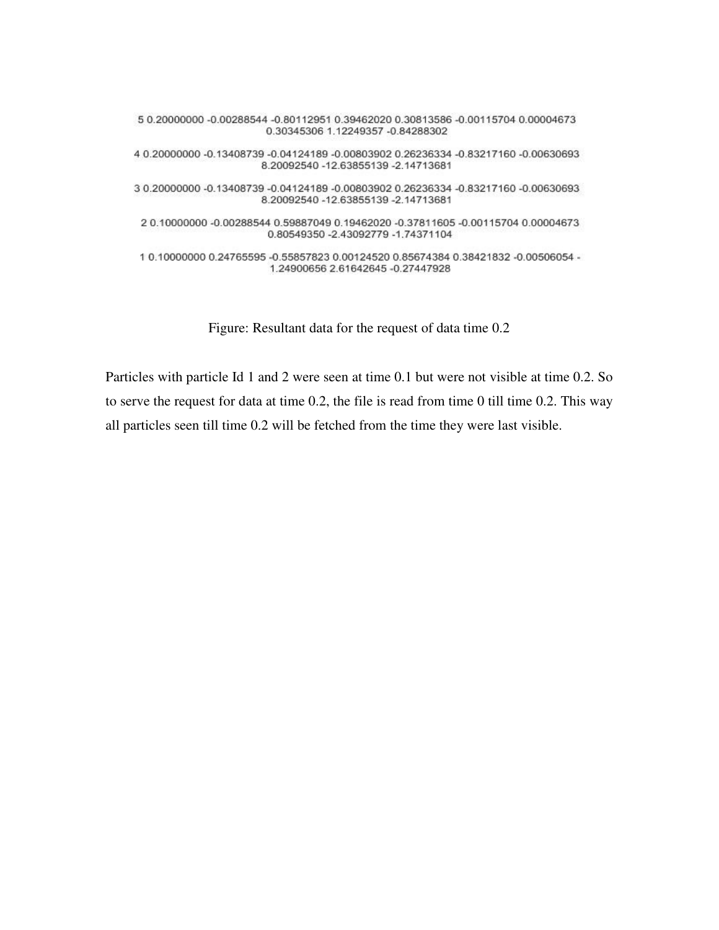5 0.20000000 -0.00288544 -0.80112951 0.39462020 0.30813586 -0.00115704 0.00004673 0.30345306 1.12249357 -0.84288302 4 0.20000000 -0.13408739 -0.04124189 -0.00803902 0.26236334 -0.83217160 -0.00630693 8.20092540 -12.63855139 -2.14713681 3 0.20000000 -0.13408739 -0.04124189 -0.00803902 0.26236334 -0.83217160 -0.00630693 8.20092540 -12.63855139 -2.14713681 2 0.10000000 -0.00288544 0.59887049 0.19462020 -0.37811605 -0.00115704 0.00004673 0.80549350 -2.43092779 -1.74371104 10.100000000.24765595-0.558578230.001245200.856743840.38421832-0.00506054-1.24900656 2.61642645 -0.27447928

Figure: Resultant data for the request of data time 0.2

Particles with particle Id 1 and 2 were seen at time 0.1 but were not visible at time 0.2. So to serve the request for data at time 0.2, the file is read from time 0 till time 0.2. This way all particles seen till time 0.2 will be fetched from the time they were last visible.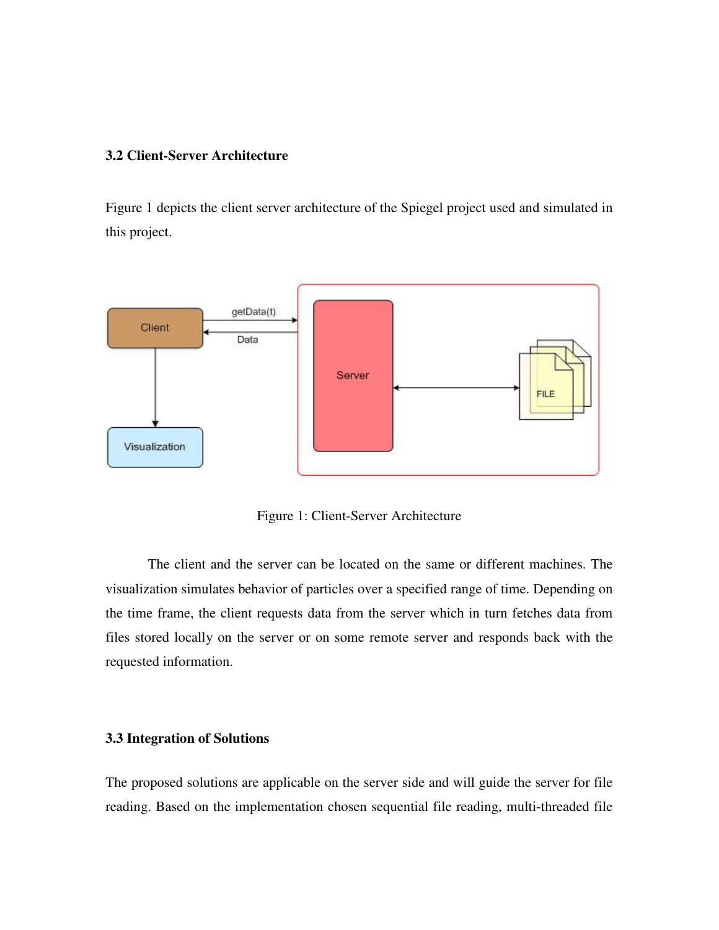# **3.2 Client-Server Architecture**

Figure 1 depicts the client server architecture of the Spiegel project used and simulated in this project.



Figure 1: Client-Server Architecture

The client and the server can be located on the same or different machines. The visualization simulates behavior of particles over a specified range of time. Depending on the time frame, the client requests data from the server which in turn fetches data from files stored locally on the server or on some remote server and responds back with the requested information.

# **3.3 Integration of Solutions**

The proposed solutions are applicable on the server side and will guide the server for file reading. Based on the implementation chosen sequential file reading, multi-threaded file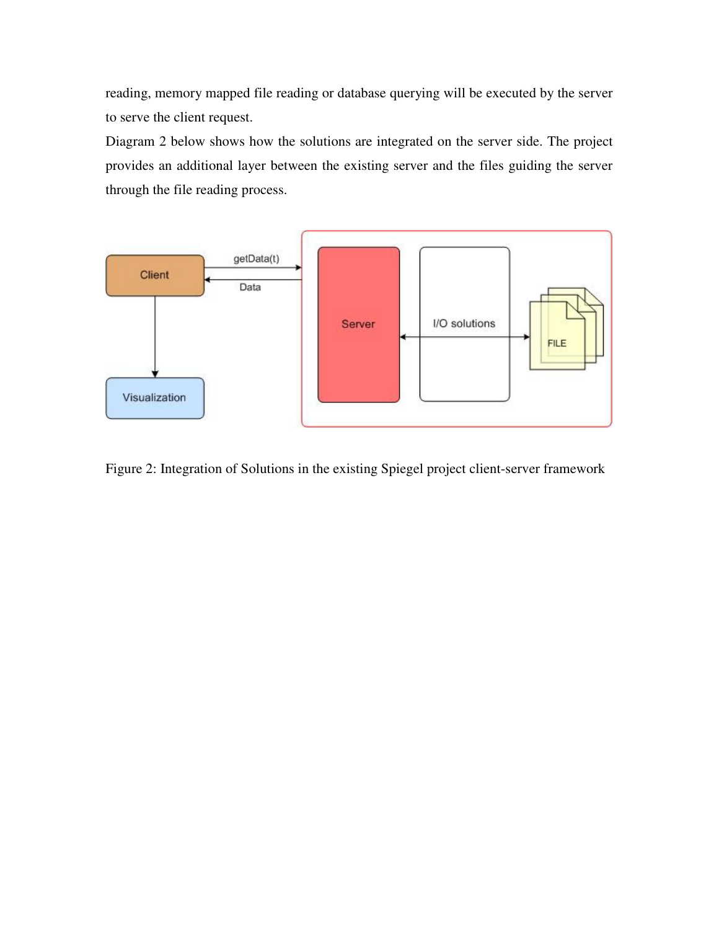reading, memory mapped file reading or database querying will be executed by the server to serve the client request.

Diagram 2 below shows how the solutions are integrated on the server side. The project provides an additional layer between the existing server and the files guiding the server through the file reading process.



Figure 2: Integration of Solutions in the existing Spiegel project client-server framework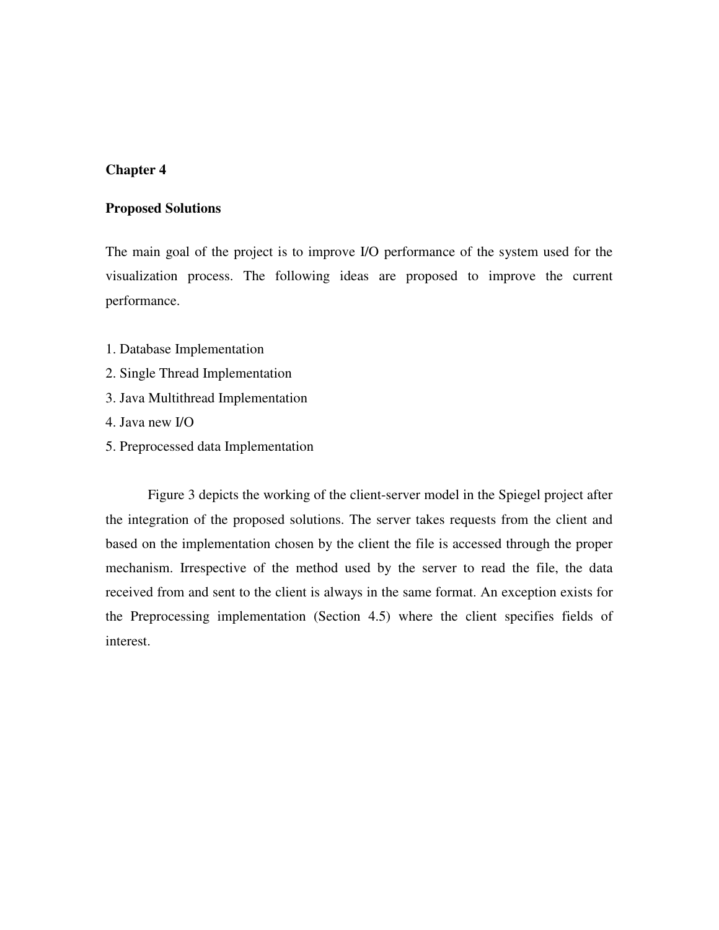#### **Proposed Solutions**

The main goal of the project is to improve I/O performance of the system used for the visualization process. The following ideas are proposed to improve the current performance.

- 1. Database Implementation
- 2. Single Thread Implementation
- 3. Java Multithread Implementation
- 4. Java new I/O
- 5. Preprocessed data Implementation

Figure 3 depicts the working of the client-server model in the Spiegel project after the integration of the proposed solutions. The server takes requests from the client and based on the implementation chosen by the client the file is accessed through the proper mechanism. Irrespective of the method used by the server to read the file, the data received from and sent to the client is always in the same format. An exception exists for the Preprocessing implementation (Section 4.5) where the client specifies fields of interest.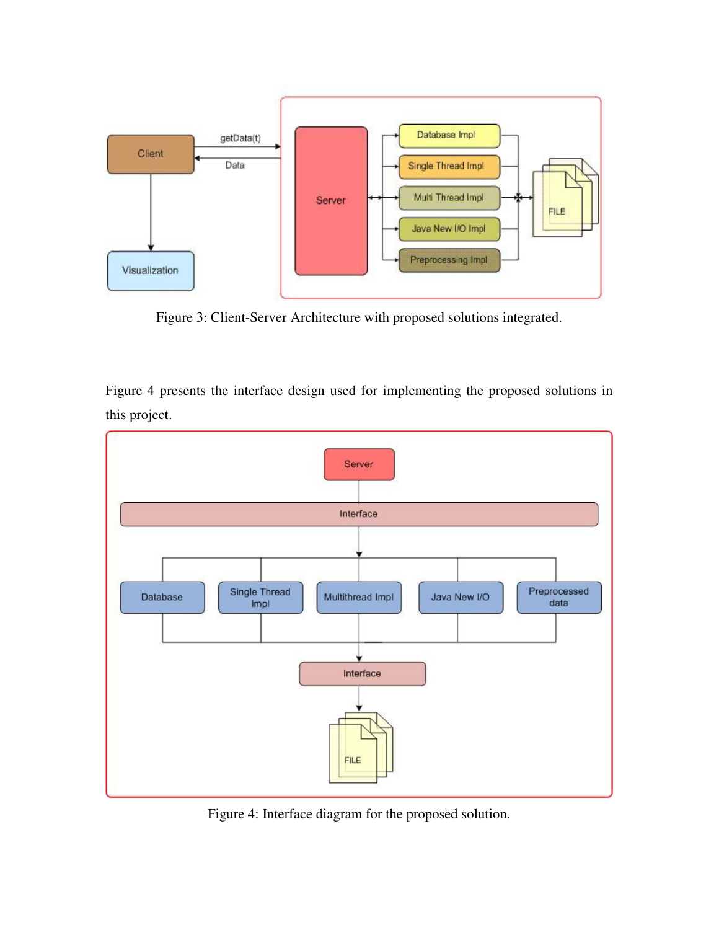

Figure 3: Client-Server Architecture with proposed solutions integrated.

Figure 4 presents the interface design used for implementing the proposed solutions in this project.



Figure 4: Interface diagram for the proposed solution.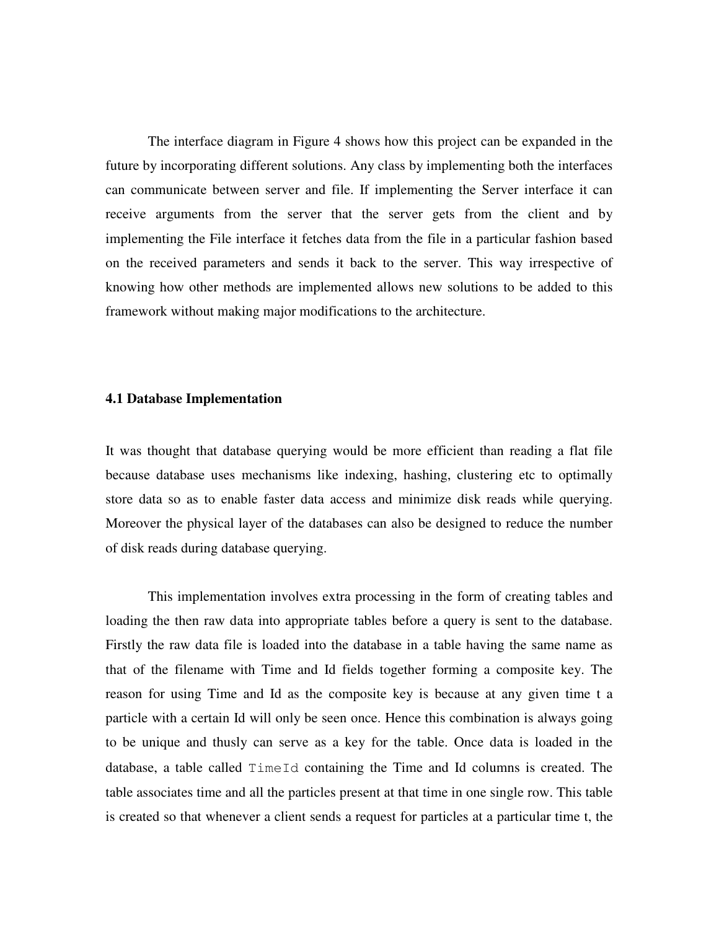The interface diagram in Figure 4 shows how this project can be expanded in the future by incorporating different solutions. Any class by implementing both the interfaces can communicate between server and file. If implementing the Server interface it can receive arguments from the server that the server gets from the client and by implementing the File interface it fetches data from the file in a particular fashion based on the received parameters and sends it back to the server. This way irrespective of knowing how other methods are implemented allows new solutions to be added to this framework without making major modifications to the architecture.

#### **4.1 Database Implementation**

It was thought that database querying would be more efficient than reading a flat file because database uses mechanisms like indexing, hashing, clustering etc to optimally store data so as to enable faster data access and minimize disk reads while querying. Moreover the physical layer of the databases can also be designed to reduce the number of disk reads during database querying.

This implementation involves extra processing in the form of creating tables and loading the then raw data into appropriate tables before a query is sent to the database. Firstly the raw data file is loaded into the database in a table having the same name as that of the filename with Time and Id fields together forming a composite key. The reason for using Time and Id as the composite key is because at any given time t a particle with a certain Id will only be seen once. Hence this combination is always going to be unique and thusly can serve as a key for the table. Once data is loaded in the database, a table called TimeId containing the Time and Id columns is created. The table associates time and all the particles present at that time in one single row. This table is created so that whenever a client sends a request for particles at a particular time t, the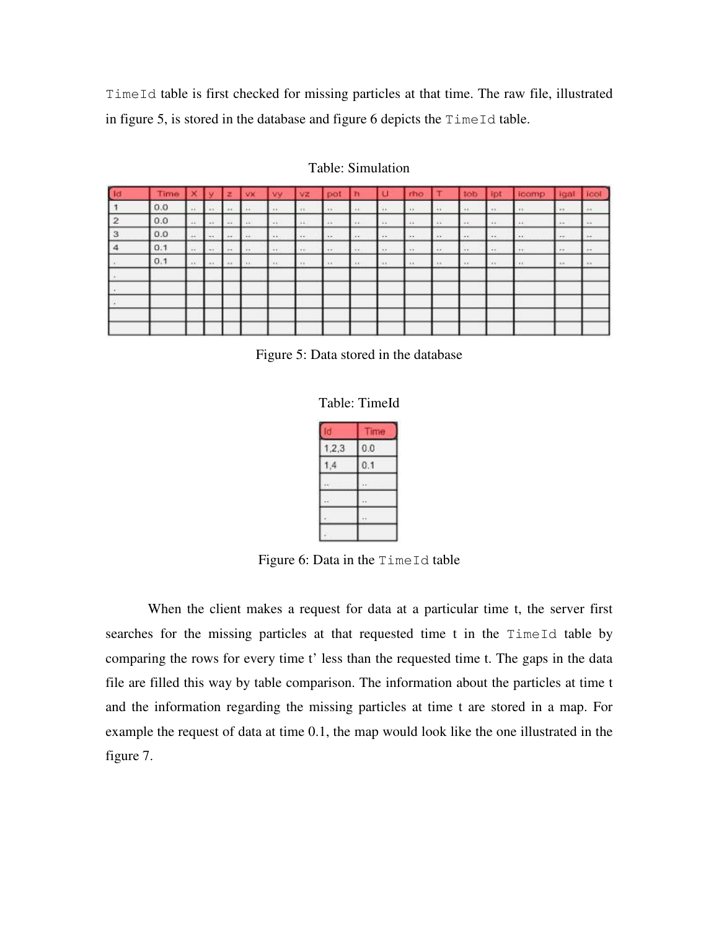TimeId table is first checked for missing particles at that time. The raw file, illustrated in figure 5, is stored in the database and figure 6 depicts the  $TimeId$  table.

| 1d             | <b>Time</b> | Iх             | r v         | z       | <b>AVX</b> | <b>Vy</b> | VZ.      | pot             | ın       |          | rho      |               | tob           | ipt      | icamp <sub></sub> | ligal   | 100         |
|----------------|-------------|----------------|-------------|---------|------------|-----------|----------|-----------------|----------|----------|----------|---------------|---------------|----------|-------------------|---------|-------------|
|                | 0.0         | 11.1           | $-44$       | $-18.1$ | 1.1        | $\cdots$  | 111      | 11 <sup>2</sup> | 1.1      | $\cdots$ | 11       | 11            | 1.8           | 111      | $+1$              | $-0.01$ | $-0.1$      |
| $\overline{2}$ | 0.0         | $\overline{1}$ | $-44$       | $-24$   | 44         | $-41$     | $-44.$   | 41.7            | $-41$    | 4.6      | $-4.6$   | $-214$        | $\rightarrow$ | $-41$    | $+1$              | 1.4     | <b>Card</b> |
| 3              | 0.0         | $\sim$         | <b>COLL</b> | $-2.5$  | $\cdots$   | $\cdots$  | $\cdots$ | $\cdot$         | $\cdots$ | $\cdots$ | $\cdots$ | $\cdots$      | $\cdots$      | $\cdots$ | $\cdots$          | $-$     |             |
|                | 0.1         | $\cdot$        | $-44.$      | $-$     | $-$        | $-4 +$    | $-4 + 1$ | $+1$            | 124.91   | $-$      | $\cdots$ | $\rightarrow$ | $\cdots$      | $-4.41$  | (4.9)             | $-$     | $-$         |
|                | 0.1         | <b>Castle</b>  | 1991        | Call 1  | $-11$      | $-11$     | $+11$    | $(11 - 1)$      | 11.1     | $-11$    | $-111$   | $-111$        | $-11$         | $-11$    | $\mathbf{r}$      | $-$     | $-1.1$      |
|                |             |                |             |         |            |           |          |                 |          |          |          |               |               |          |                   |         |             |
|                |             |                |             |         |            |           |          |                 |          |          |          |               |               |          |                   |         |             |
|                |             |                |             |         |            |           |          |                 |          |          |          |               |               |          |                   |         |             |
|                |             |                |             |         |            |           |          |                 |          |          |          |               |               |          |                   |         |             |
|                |             |                |             |         |            |           |          |                 |          |          |          |               |               |          |                   |         |             |

### Table: Simulation



Table: TimeId

| d              | <b>Ime</b> |
|----------------|------------|
| 1,2,3          | 0.0        |
| $\overline{4}$ | 0.1        |
|                |            |
|                |            |
|                |            |
|                |            |

Figure 6: Data in the TimeId table

When the client makes a request for data at a particular time t, the server first searches for the missing particles at that requested time t in the TimeId table by comparing the rows for every time t' less than the requested time t. The gaps in the data file are filled this way by table comparison. The information about the particles at time t and the information regarding the missing particles at time t are stored in a map. For example the request of data at time 0.1, the map would look like the one illustrated in the figure 7.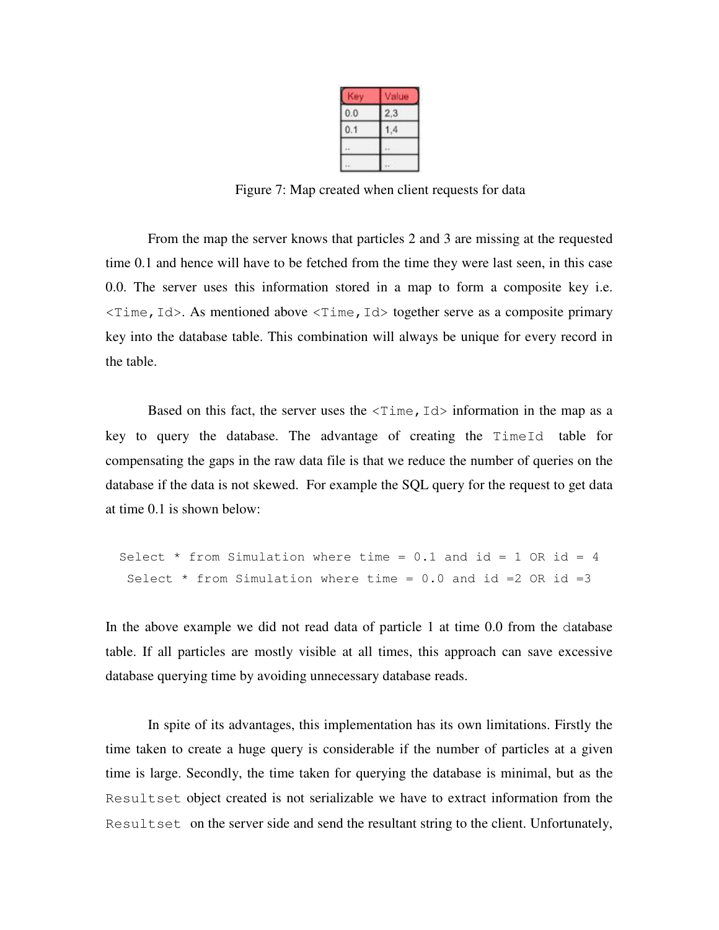|     | alue    |  |  |  |  |
|-----|---------|--|--|--|--|
| 0.0 | $^{13}$ |  |  |  |  |
| 0.1 |         |  |  |  |  |
|     |         |  |  |  |  |
|     |         |  |  |  |  |

Figure 7: Map created when client requests for data

From the map the server knows that particles 2 and 3 are missing at the requested time 0.1 and hence will have to be fetched from the time they were last seen, in this case 0.0. The server uses this information stored in a map to form a composite key i.e.  $\le$ Time, Id>. As mentioned above  $\le$ Time, Id> together serve as a composite primary key into the database table. This combination will always be unique for every record in the table.

Based on this fact, the server uses the  $\leq$  Time, Id information in the map as a key to query the database. The advantage of creating the TimeId table for compensating the gaps in the raw data file is that we reduce the number of queries on the database if the data is not skewed. For example the SQL query for the request to get data at time 0.1 is shown below:

```
Select * from Simulation where time = 0.1 and id = 1 OR id = 4
 Select * from Simulation where time = 0.0 and id = 2 OR id = 3
```
In the above example we did not read data of particle 1 at time 0.0 from the database table. If all particles are mostly visible at all times, this approach can save excessive database querying time by avoiding unnecessary database reads.

In spite of its advantages, this implementation has its own limitations. Firstly the time taken to create a huge query is considerable if the number of particles at a given time is large. Secondly, the time taken for querying the database is minimal, but as the Resultset object created is not serializable we have to extract information from the Resultset on the server side and send the resultant string to the client. Unfortunately,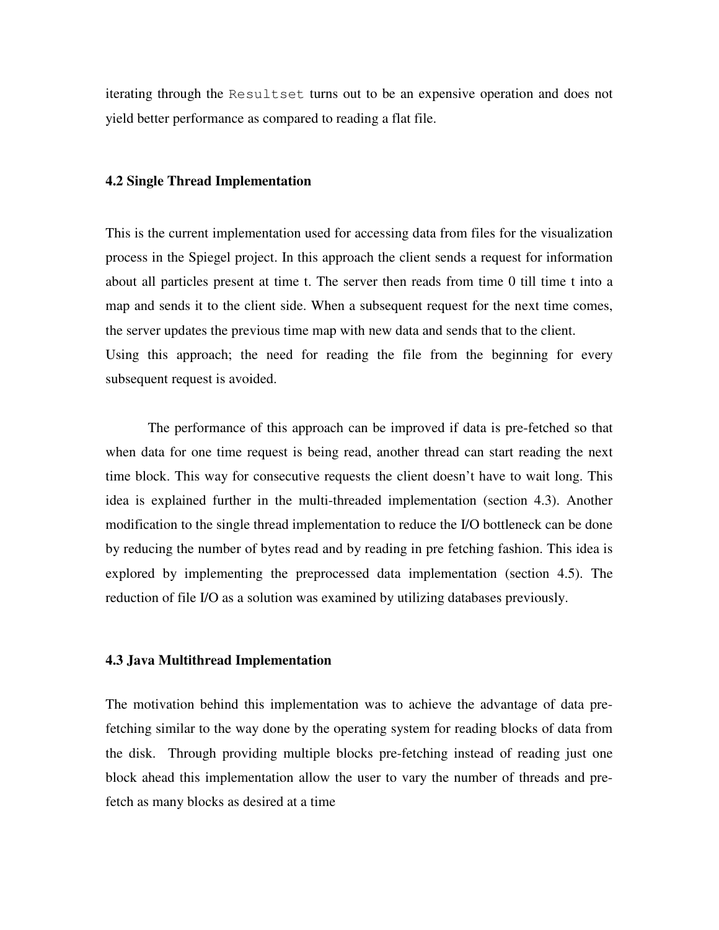iterating through the Resultset turns out to be an expensive operation and does not yield better performance as compared to reading a flat file.

#### **4.2 Single Thread Implementation**

This is the current implementation used for accessing data from files for the visualization process in the Spiegel project. In this approach the client sends a request for information about all particles present at time t. The server then reads from time 0 till time t into a map and sends it to the client side. When a subsequent request for the next time comes, the server updates the previous time map with new data and sends that to the client. Using this approach; the need for reading the file from the beginning for every subsequent request is avoided.

 The performance of this approach can be improved if data is pre-fetched so that when data for one time request is being read, another thread can start reading the next time block. This way for consecutive requests the client doesn't have to wait long. This idea is explained further in the multi-threaded implementation (section 4.3). Another modification to the single thread implementation to reduce the I/O bottleneck can be done by reducing the number of bytes read and by reading in pre fetching fashion. This idea is explored by implementing the preprocessed data implementation (section 4.5). The reduction of file I/O as a solution was examined by utilizing databases previously.

#### **4.3 Java Multithread Implementation**

The motivation behind this implementation was to achieve the advantage of data prefetching similar to the way done by the operating system for reading blocks of data from the disk. Through providing multiple blocks pre-fetching instead of reading just one block ahead this implementation allow the user to vary the number of threads and prefetch as many blocks as desired at a time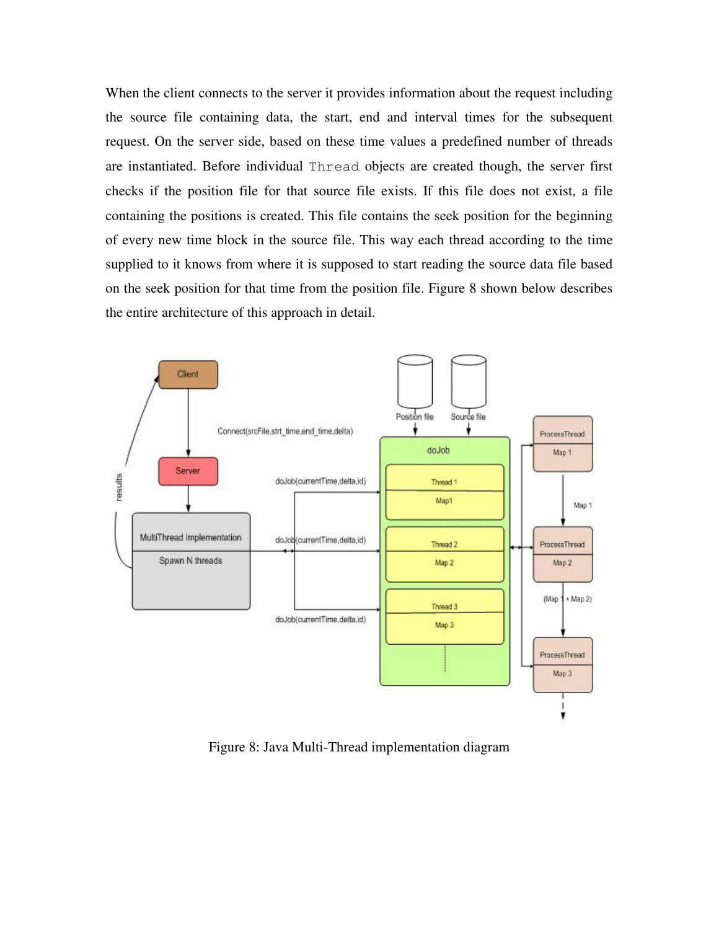When the client connects to the server it provides information about the request including the source file containing data, the start, end and interval times for the subsequent request. On the server side, based on these time values a predefined number of threads are instantiated. Before individual Thread objects are created though, the server first checks if the position file for that source file exists. If this file does not exist, a file containing the positions is created. This file contains the seek position for the beginning of every new time block in the source file. This way each thread according to the time supplied to it knows from where it is supposed to start reading the source data file based on the seek position for that time from the position file. Figure 8 shown below describes the entire architecture of this approach in detail.



Figure 8: Java Multi-Thread implementation diagram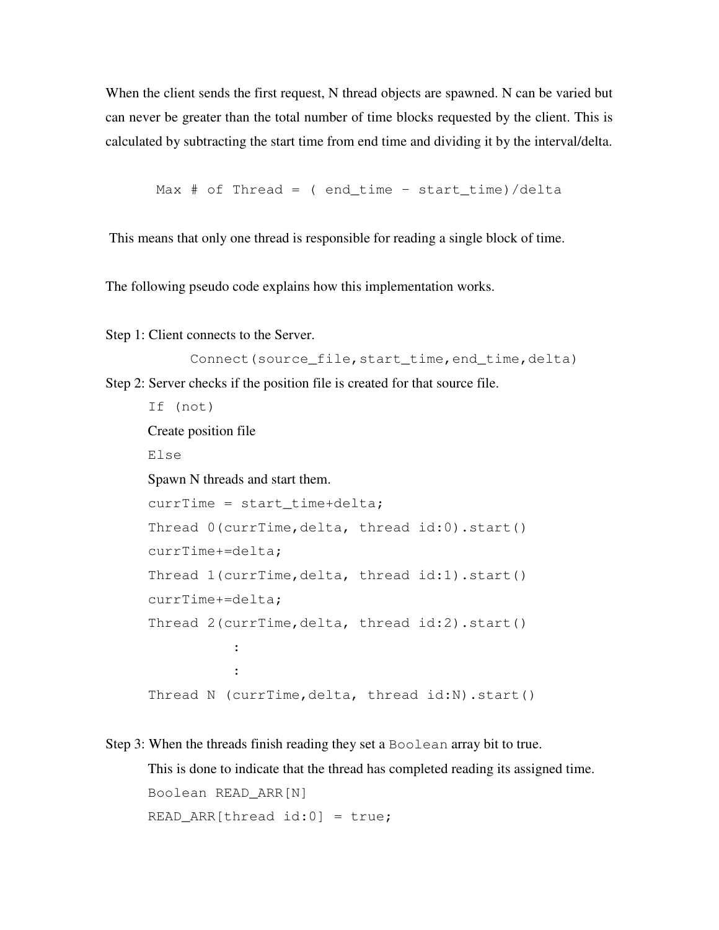When the client sends the first request, N thread objects are spawned. N can be varied but can never be greater than the total number of time blocks requested by the client. This is calculated by subtracting the start time from end time and dividing it by the interval/delta.

Max  $#$  of Thread = ( end\_time - start\_time)/delta

This means that only one thread is responsible for reading a single block of time.

The following pseudo code explains how this implementation works.

Step 1: Client connects to the Server.

```
Connect(source_file,start_time,end_time,delta)
Step 2: Server checks if the position file is created for that source file. 
       If (not) 
      Create position file 
       Else 
      Spawn N threads and start them. 
       currTime = start_time+delta;
```

```
 Thread 0(currTime,delta, thread id:0).start() 
      currTime+=delta; 
      Thread 1(currTime,delta, thread id:1).start() 
      currTime+=delta; 
      Thread 2(currTime,delta, thread id:2).start() 
Service State State State
Service State State State
      Thread N (currTime,delta, thread id:N).start()
```
Step 3: When the threads finish reading they set a Boolean array bit to true.

This is done to indicate that the thread has completed reading its assigned time. Boolean READ\_ARR[N] READ ARR[thread id:0] = true;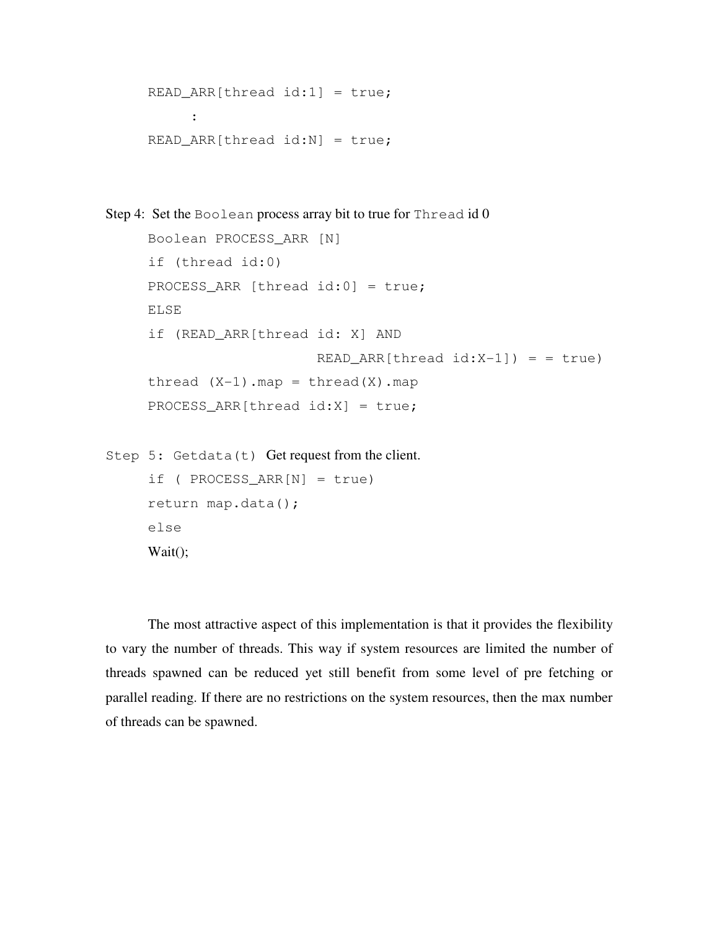```
READ\_ARR[thread id:1] = true; : 
     READ\_ARR[thread id:N] = true;Step 4: Set the Boolean process array bit to true for Thread id 0
      Boolean PROCESS_ARR [N] 
     if (thread id:0) 
      PROCESS_ARR [thread id:0] = true; 
      ELSE 
      if (READ_ARR[thread id: X] AND 
                          READ\_ARR[thread id:X-1]) = truethread (X-1).map = thread(X).map
      PROCESS_ARR[thread id:X] = true;
```

```
Step 5: Getdata(t) Get request from the client.
     if ( PROCESS ARR[N] = true)
      return map.data(); 
      else 
      Wait();
```
The most attractive aspect of this implementation is that it provides the flexibility to vary the number of threads. This way if system resources are limited the number of threads spawned can be reduced yet still benefit from some level of pre fetching or parallel reading. If there are no restrictions on the system resources, then the max number of threads can be spawned.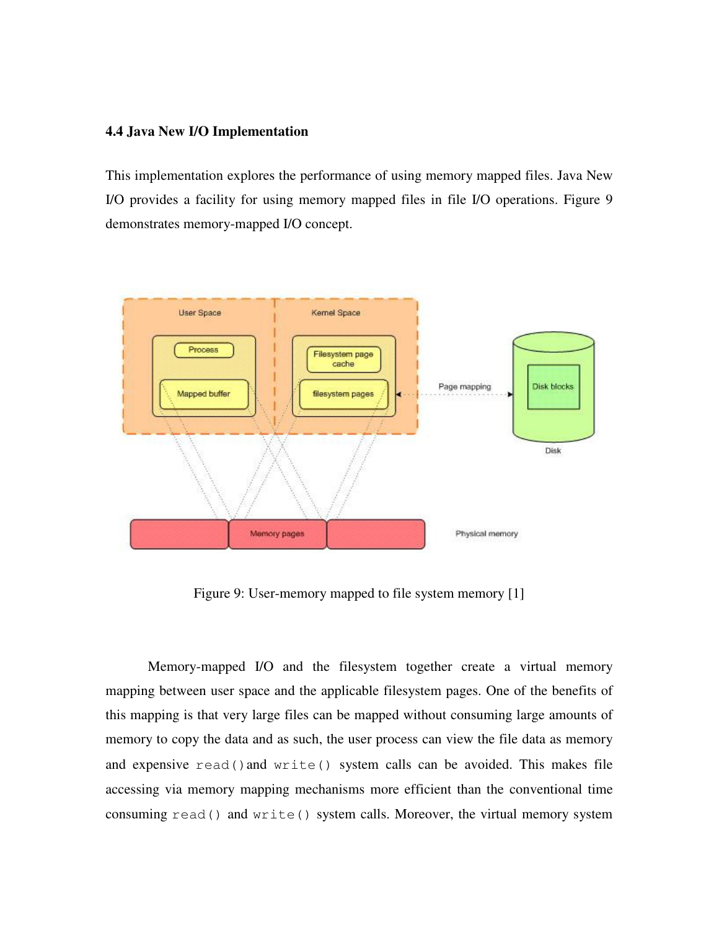#### **4.4 Java New I/O Implementation**

This implementation explores the performance of using memory mapped files. Java New I/O provides a facility for using memory mapped files in file I/O operations. Figure 9 demonstrates memory-mapped I/O concept.



Figure 9: User-memory mapped to file system memory [1]

Memory-mapped I/O and the filesystem together create a virtual memory mapping between user space and the applicable filesystem pages. One of the benefits of this mapping is that very large files can be mapped without consuming large amounts of memory to copy the data and as such, the user process can view the file data as memory and expensive read()and write() system calls can be avoided. This makes file accessing via memory mapping mechanisms more efficient than the conventional time consuming read() and write() system calls. Moreover, the virtual memory system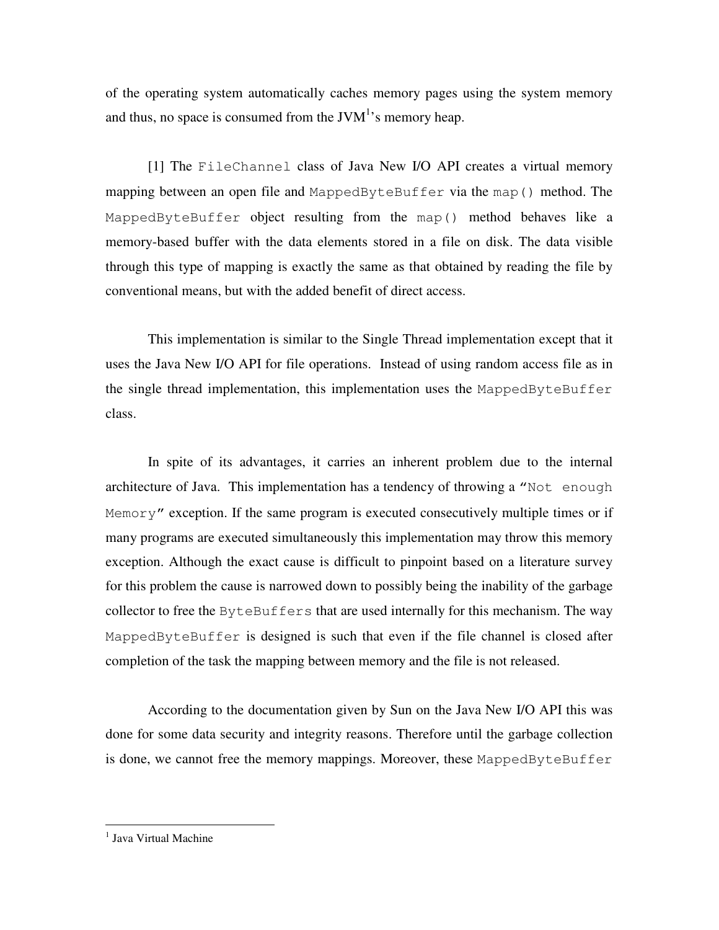of the operating system automatically caches memory pages using the system memory and thus, no space is consumed from the JV $M<sup>1</sup>$ 's memory heap.

[1] The FileChannel class of Java New I/O API creates a virtual memory mapping between an open file and MappedByteBuffer via the map() method. The MappedByteBuffer object resulting from the map() method behaves like a memory-based buffer with the data elements stored in a file on disk. The data visible through this type of mapping is exactly the same as that obtained by reading the file by conventional means, but with the added benefit of direct access.

This implementation is similar to the Single Thread implementation except that it uses the Java New I/O API for file operations. Instead of using random access file as in the single thread implementation, this implementation uses the MappedByteBuffer class.

In spite of its advantages, it carries an inherent problem due to the internal architecture of Java. This implementation has a tendency of throwing a "Not enough  $Memory''$  exception. If the same program is executed consecutively multiple times or if many programs are executed simultaneously this implementation may throw this memory exception. Although the exact cause is difficult to pinpoint based on a literature survey for this problem the cause is narrowed down to possibly being the inability of the garbage collector to free the  $\text{ByteBuffers}$  that are used internally for this mechanism. The way MappedByteBuffer is designed is such that even if the file channel is closed after completion of the task the mapping between memory and the file is not released.

According to the documentation given by Sun on the Java New I/O API this was done for some data security and integrity reasons. Therefore until the garbage collection is done, we cannot free the memory mappings. Moreover, these MappedByteBuffer

l

<sup>&</sup>lt;sup>1</sup> Java Virtual Machine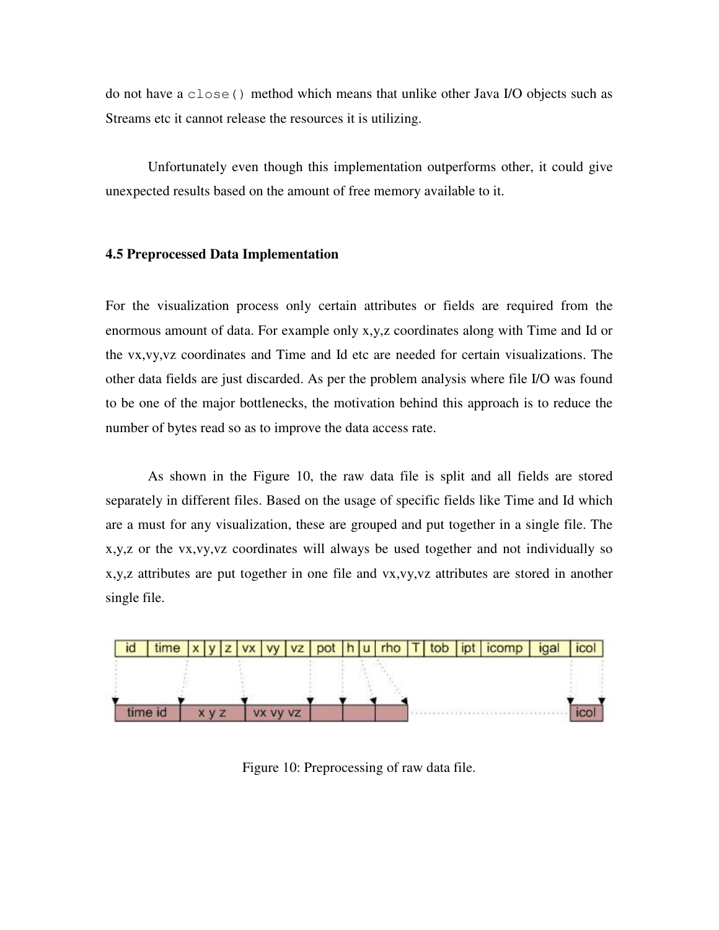do not have a close() method which means that unlike other Java I/O objects such as Streams etc it cannot release the resources it is utilizing.

Unfortunately even though this implementation outperforms other, it could give unexpected results based on the amount of free memory available to it.

#### **4.5 Preprocessed Data Implementation**

For the visualization process only certain attributes or fields are required from the enormous amount of data. For example only x,y,z coordinates along with Time and Id or the vx,vy,vz coordinates and Time and Id etc are needed for certain visualizations. The other data fields are just discarded. As per the problem analysis where file I/O was found to be one of the major bottlenecks, the motivation behind this approach is to reduce the number of bytes read so as to improve the data access rate.

As shown in the Figure 10, the raw data file is split and all fields are stored separately in different files. Based on the usage of specific fields like Time and Id which are a must for any visualization, these are grouped and put together in a single file. The x,y,z or the vx,vy,vz coordinates will always be used together and not individually so x,y,z attributes are put together in one file and vx,vy,vz attributes are stored in another single file.



Figure 10: Preprocessing of raw data file.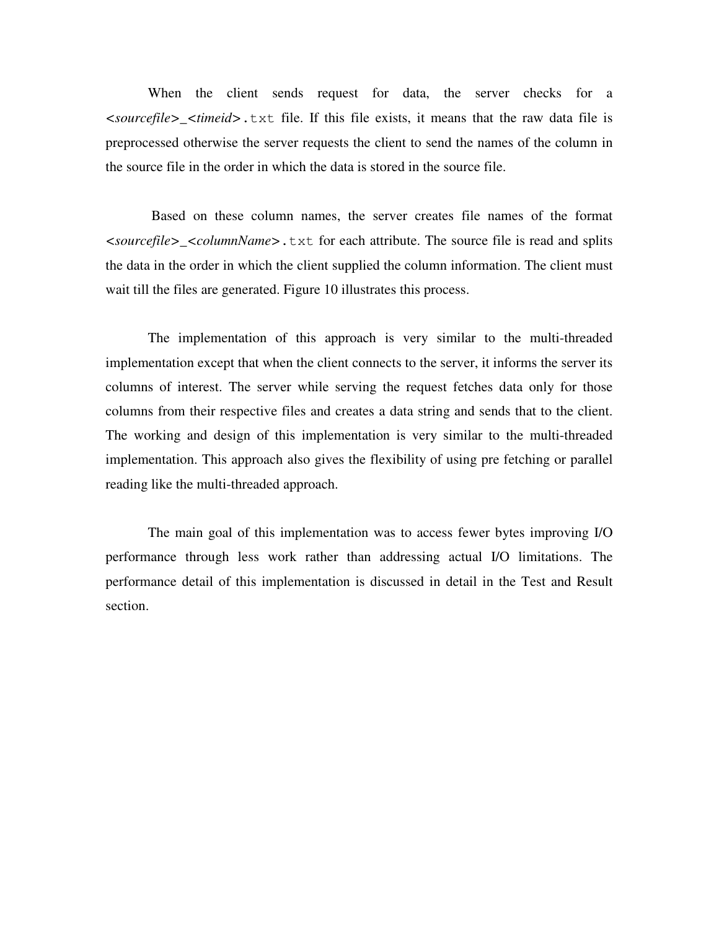When the client sends request for data, the server checks for a *<sourcefile>\_<timeid>*.txt file. If this file exists, it means that the raw data file is preprocessed otherwise the server requests the client to send the names of the column in the source file in the order in which the data is stored in the source file.

 Based on these column names, the server creates file names of the format *<sourcefile>\_<columnName>*.txt for each attribute. The source file is read and splits the data in the order in which the client supplied the column information. The client must wait till the files are generated. Figure 10 illustrates this process.

The implementation of this approach is very similar to the multi-threaded implementation except that when the client connects to the server, it informs the server its columns of interest. The server while serving the request fetches data only for those columns from their respective files and creates a data string and sends that to the client. The working and design of this implementation is very similar to the multi-threaded implementation. This approach also gives the flexibility of using pre fetching or parallel reading like the multi-threaded approach.

The main goal of this implementation was to access fewer bytes improving I/O performance through less work rather than addressing actual I/O limitations. The performance detail of this implementation is discussed in detail in the Test and Result section.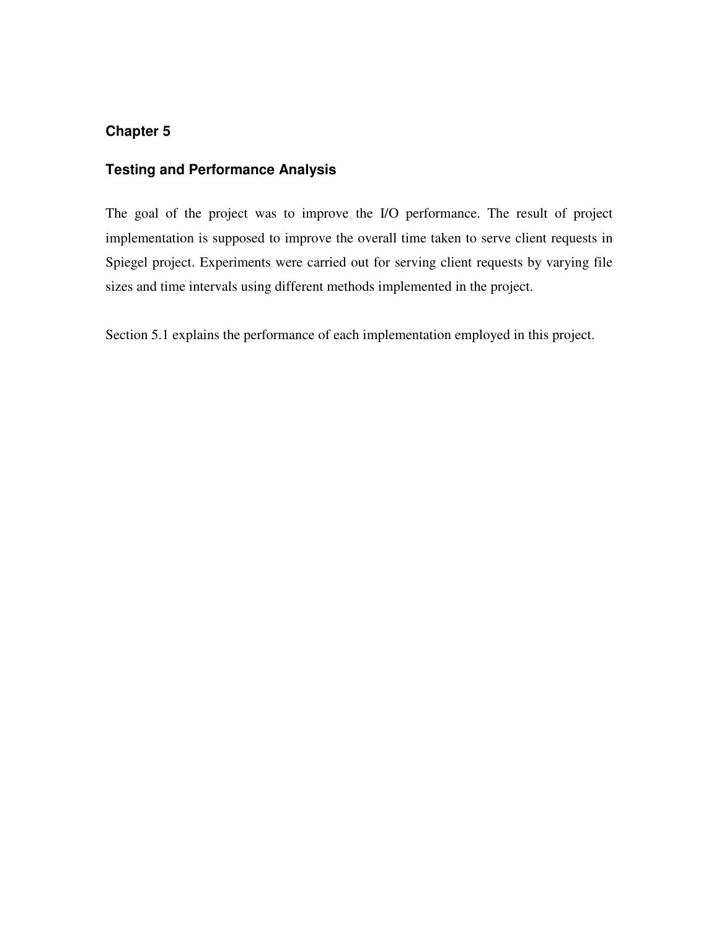# **Testing and Performance Analysis**

The goal of the project was to improve the I/O performance. The result of project implementation is supposed to improve the overall time taken to serve client requests in Spiegel project. Experiments were carried out for serving client requests by varying file sizes and time intervals using different methods implemented in the project.

Section 5.1 explains the performance of each implementation employed in this project.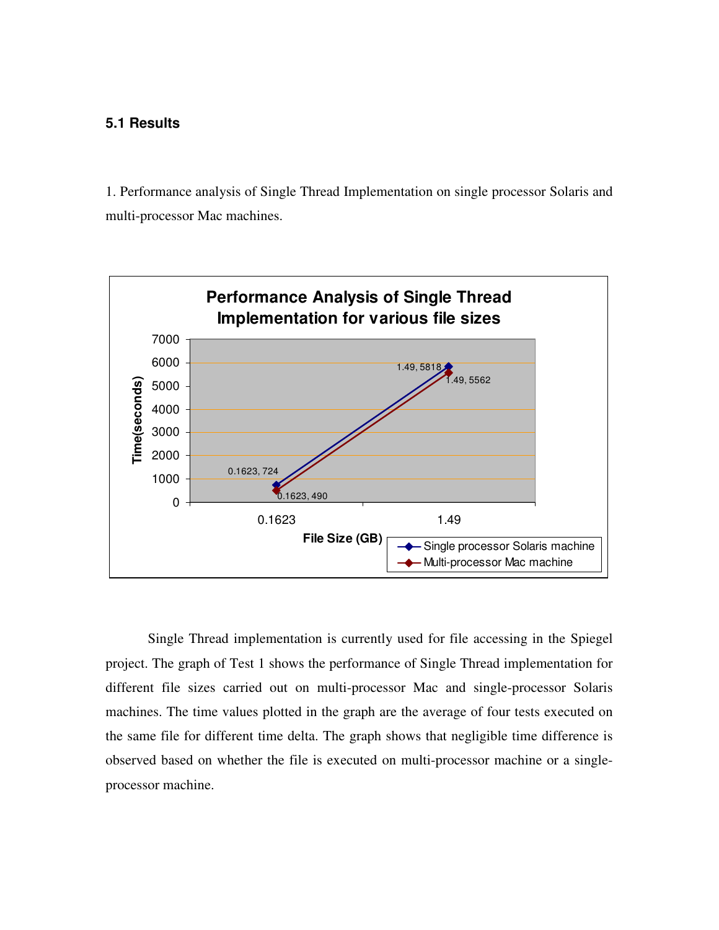# **5.1 Results**

1. Performance analysis of Single Thread Implementation on single processor Solaris and multi-processor Mac machines.



Single Thread implementation is currently used for file accessing in the Spiegel project. The graph of Test 1 shows the performance of Single Thread implementation for different file sizes carried out on multi-processor Mac and single-processor Solaris machines. The time values plotted in the graph are the average of four tests executed on the same file for different time delta. The graph shows that negligible time difference is observed based on whether the file is executed on multi-processor machine or a singleprocessor machine.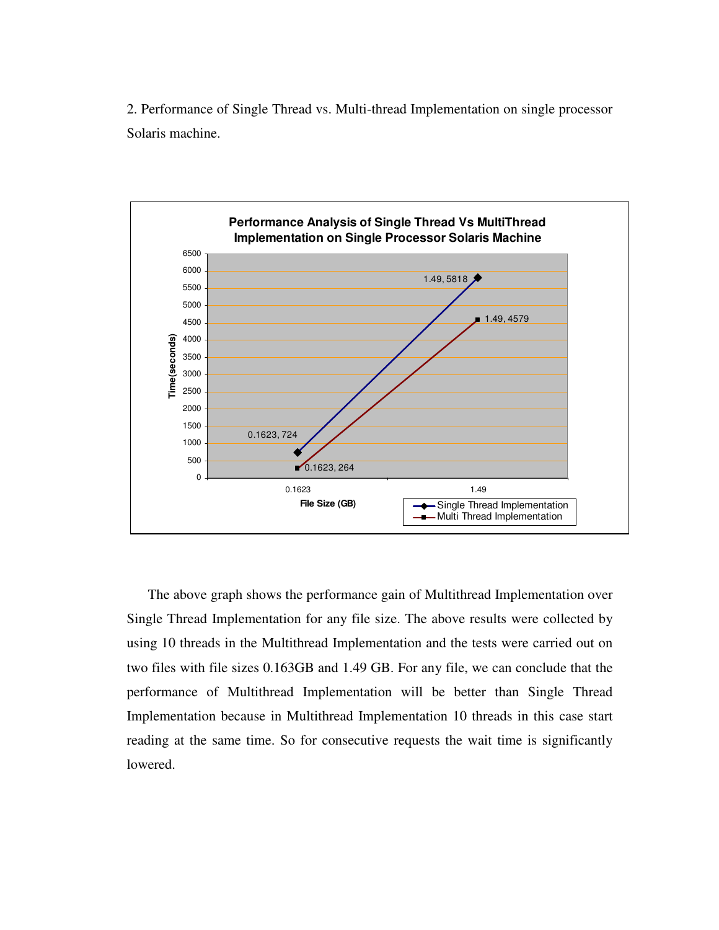2. Performance of Single Thread vs. Multi-thread Implementation on single processor Solaris machine.



The above graph shows the performance gain of Multithread Implementation over Single Thread Implementation for any file size. The above results were collected by using 10 threads in the Multithread Implementation and the tests were carried out on two files with file sizes 0.163GB and 1.49 GB. For any file, we can conclude that the performance of Multithread Implementation will be better than Single Thread Implementation because in Multithread Implementation 10 threads in this case start reading at the same time. So for consecutive requests the wait time is significantly lowered.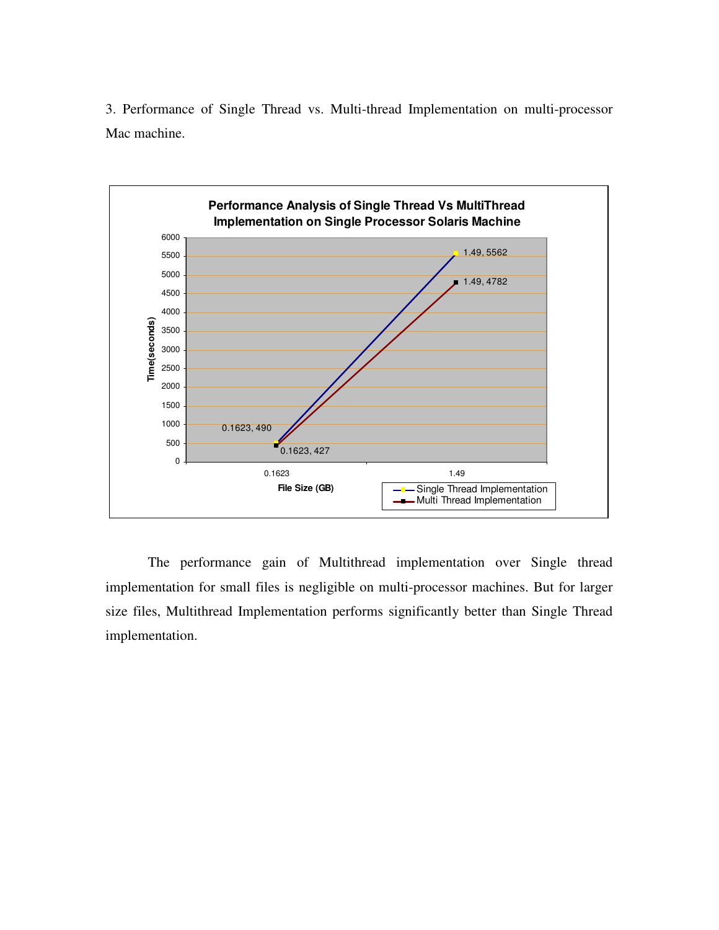3. Performance of Single Thread vs. Multi-thread Implementation on multi-processor Mac machine.



The performance gain of Multithread implementation over Single thread implementation for small files is negligible on multi-processor machines. But for larger size files, Multithread Implementation performs significantly better than Single Thread implementation.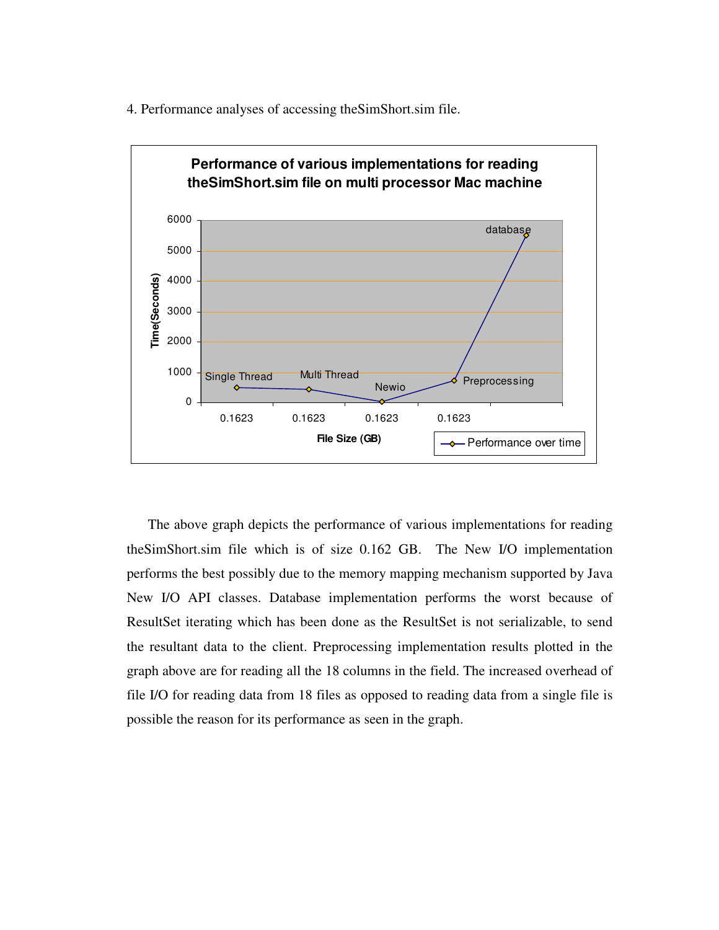4. Performance analyses of accessing theSimShort.sim file.



 The above graph depicts the performance of various implementations for reading theSimShort.sim file which is of size 0.162 GB. The New I/O implementation performs the best possibly due to the memory mapping mechanism supported by Java New I/O API classes. Database implementation performs the worst because of ResultSet iterating which has been done as the ResultSet is not serializable, to send the resultant data to the client. Preprocessing implementation results plotted in the graph above are for reading all the 18 columns in the field. The increased overhead of file I/O for reading data from 18 files as opposed to reading data from a single file is possible the reason for its performance as seen in the graph.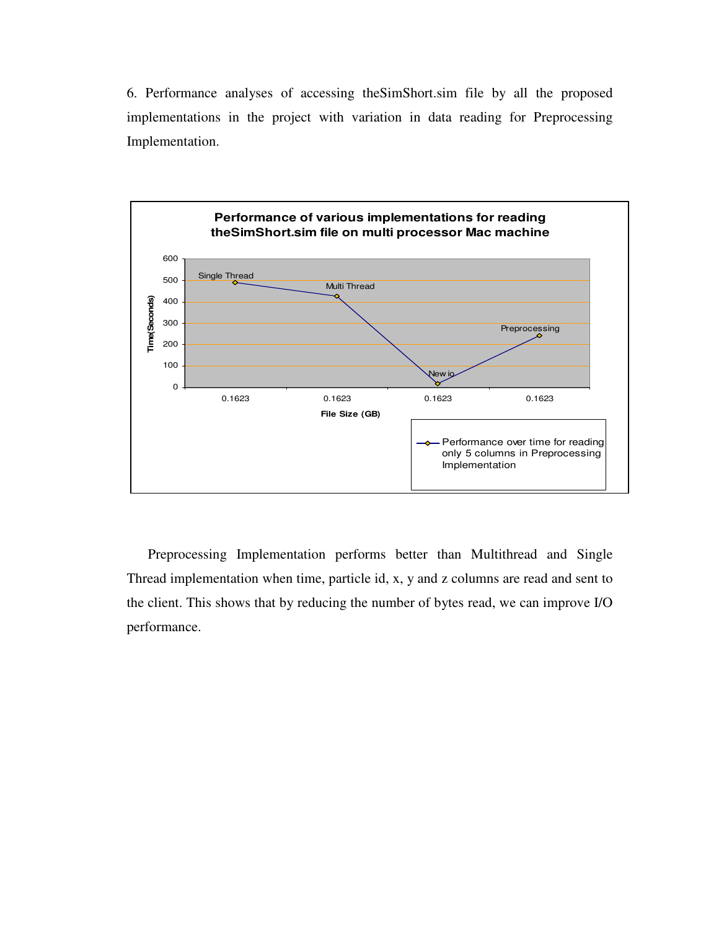6. Performance analyses of accessing theSimShort.sim file by all the proposed implementations in the project with variation in data reading for Preprocessing Implementation.



Preprocessing Implementation performs better than Multithread and Single Thread implementation when time, particle id, x, y and z columns are read and sent to the client. This shows that by reducing the number of bytes read, we can improve I/O performance.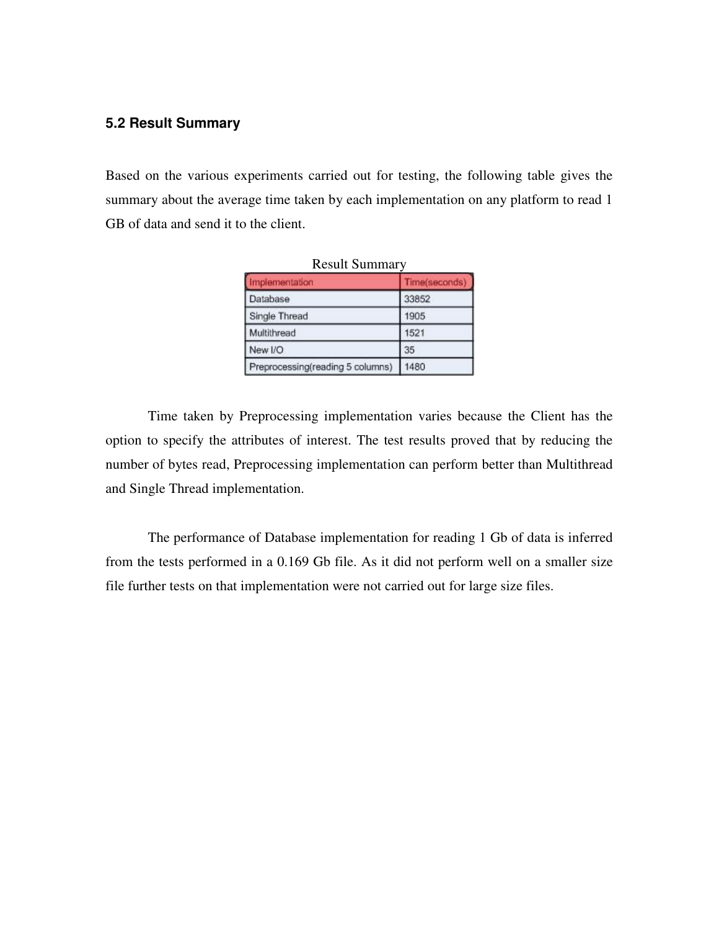# **5.2 Result Summary**

Based on the various experiments carried out for testing, the following table gives the summary about the average time taken by each implementation on any platform to read 1 GB of data and send it to the client.

| Implementation                   | Time(seconds) |
|----------------------------------|---------------|
| Database                         | 33852         |
| Single Thread                    | 1905          |
| Multithread                      | 1521          |
| New I/O                          | 35            |
| Preprocessing(reading 5 columns) | 1480          |

 $D_{\text{con}}$ lt  $C$ 

Time taken by Preprocessing implementation varies because the Client has the option to specify the attributes of interest. The test results proved that by reducing the number of bytes read, Preprocessing implementation can perform better than Multithread and Single Thread implementation.

The performance of Database implementation for reading 1 Gb of data is inferred from the tests performed in a 0.169 Gb file. As it did not perform well on a smaller size file further tests on that implementation were not carried out for large size files.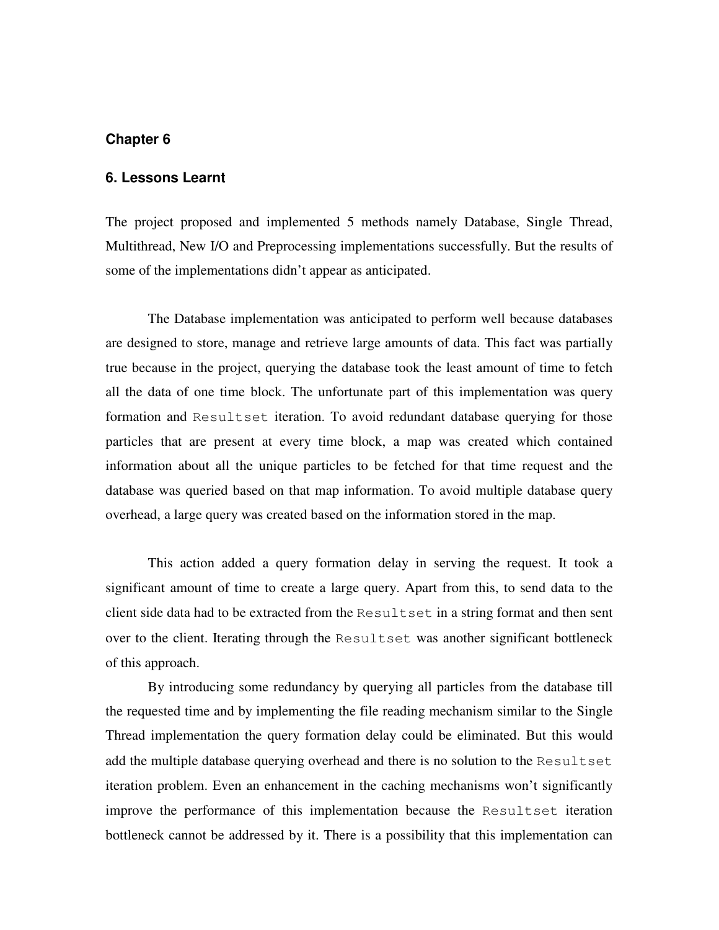#### **6. Lessons Learnt**

The project proposed and implemented 5 methods namely Database, Single Thread, Multithread, New I/O and Preprocessing implementations successfully. But the results of some of the implementations didn't appear as anticipated.

The Database implementation was anticipated to perform well because databases are designed to store, manage and retrieve large amounts of data. This fact was partially true because in the project, querying the database took the least amount of time to fetch all the data of one time block. The unfortunate part of this implementation was query formation and Resultset iteration. To avoid redundant database querying for those particles that are present at every time block, a map was created which contained information about all the unique particles to be fetched for that time request and the database was queried based on that map information. To avoid multiple database query overhead, a large query was created based on the information stored in the map.

This action added a query formation delay in serving the request. It took a significant amount of time to create a large query. Apart from this, to send data to the client side data had to be extracted from the Resultset in a string format and then sent over to the client. Iterating through the Resultset was another significant bottleneck of this approach.

By introducing some redundancy by querying all particles from the database till the requested time and by implementing the file reading mechanism similar to the Single Thread implementation the query formation delay could be eliminated. But this would add the multiple database querying overhead and there is no solution to the Resultset iteration problem. Even an enhancement in the caching mechanisms won't significantly improve the performance of this implementation because the Resultset iteration bottleneck cannot be addressed by it. There is a possibility that this implementation can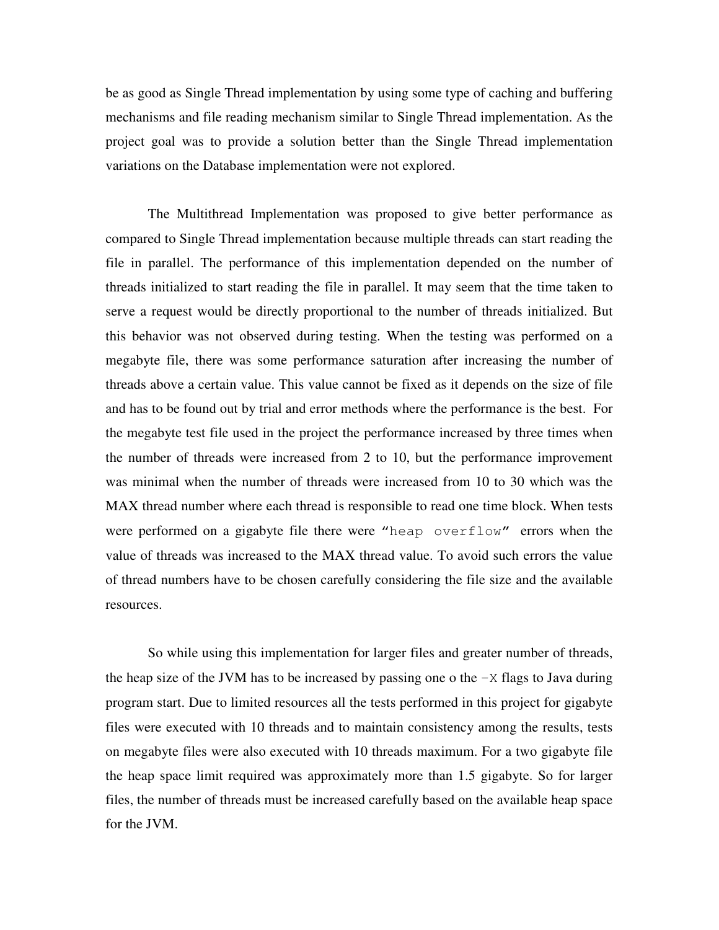be as good as Single Thread implementation by using some type of caching and buffering mechanisms and file reading mechanism similar to Single Thread implementation. As the project goal was to provide a solution better than the Single Thread implementation variations on the Database implementation were not explored.

The Multithread Implementation was proposed to give better performance as compared to Single Thread implementation because multiple threads can start reading the file in parallel. The performance of this implementation depended on the number of threads initialized to start reading the file in parallel. It may seem that the time taken to serve a request would be directly proportional to the number of threads initialized. But this behavior was not observed during testing. When the testing was performed on a megabyte file, there was some performance saturation after increasing the number of threads above a certain value. This value cannot be fixed as it depends on the size of file and has to be found out by trial and error methods where the performance is the best. For the megabyte test file used in the project the performance increased by three times when the number of threads were increased from 2 to 10, but the performance improvement was minimal when the number of threads were increased from 10 to 30 which was the MAX thread number where each thread is responsible to read one time block. When tests were performed on a gigabyte file there were "heap overflow" errors when the value of threads was increased to the MAX thread value. To avoid such errors the value of thread numbers have to be chosen carefully considering the file size and the available resources.

So while using this implementation for larger files and greater number of threads, the heap size of the JVM has to be increased by passing one o the  $-X$  flags to Java during program start. Due to limited resources all the tests performed in this project for gigabyte files were executed with 10 threads and to maintain consistency among the results, tests on megabyte files were also executed with 10 threads maximum. For a two gigabyte file the heap space limit required was approximately more than 1.5 gigabyte. So for larger files, the number of threads must be increased carefully based on the available heap space for the JVM.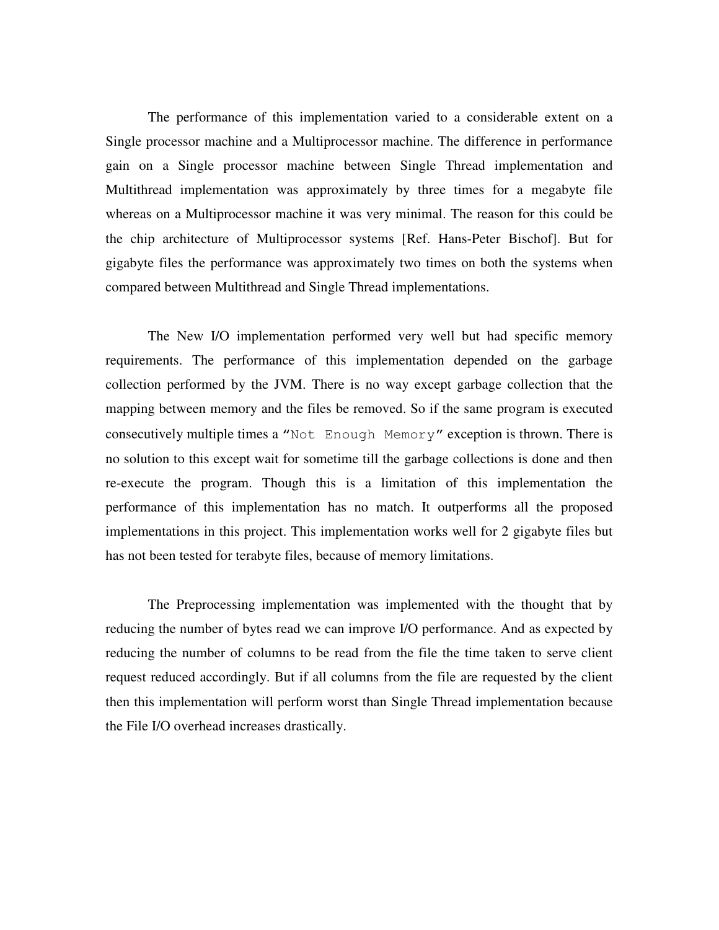The performance of this implementation varied to a considerable extent on a Single processor machine and a Multiprocessor machine. The difference in performance gain on a Single processor machine between Single Thread implementation and Multithread implementation was approximately by three times for a megabyte file whereas on a Multiprocessor machine it was very minimal. The reason for this could be the chip architecture of Multiprocessor systems [Ref. Hans-Peter Bischof]. But for gigabyte files the performance was approximately two times on both the systems when compared between Multithread and Single Thread implementations.

The New I/O implementation performed very well but had specific memory requirements. The performance of this implementation depended on the garbage collection performed by the JVM. There is no way except garbage collection that the mapping between memory and the files be removed. So if the same program is executed consecutively multiple times a "Not Enough Memory" exception is thrown. There is no solution to this except wait for sometime till the garbage collections is done and then re-execute the program. Though this is a limitation of this implementation the performance of this implementation has no match. It outperforms all the proposed implementations in this project. This implementation works well for 2 gigabyte files but has not been tested for terabyte files, because of memory limitations.

The Preprocessing implementation was implemented with the thought that by reducing the number of bytes read we can improve I/O performance. And as expected by reducing the number of columns to be read from the file the time taken to serve client request reduced accordingly. But if all columns from the file are requested by the client then this implementation will perform worst than Single Thread implementation because the File I/O overhead increases drastically.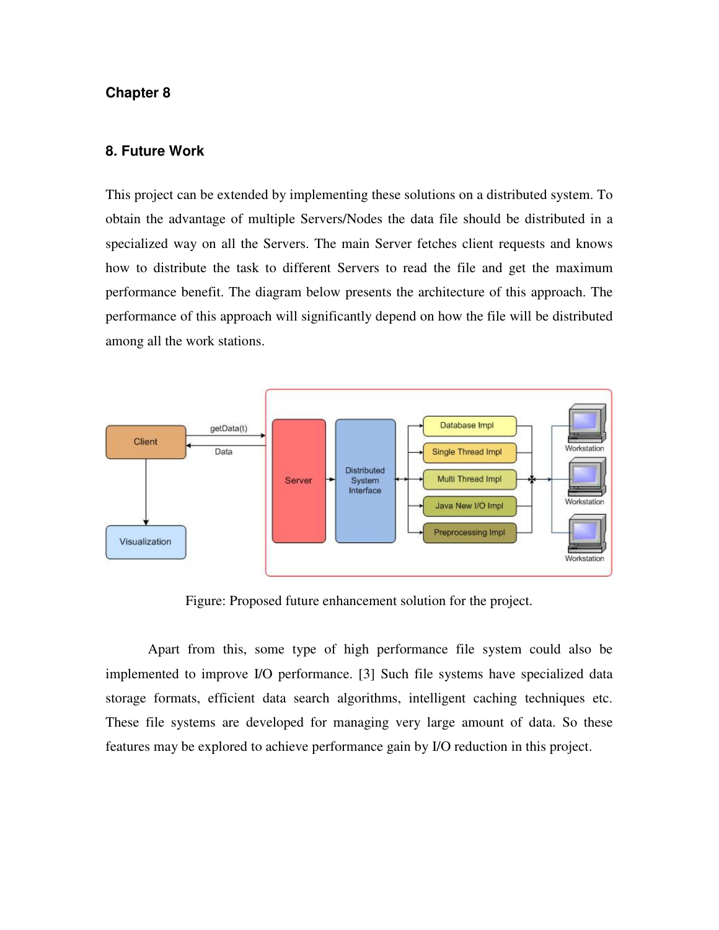#### **8. Future Work**

This project can be extended by implementing these solutions on a distributed system. To obtain the advantage of multiple Servers/Nodes the data file should be distributed in a specialized way on all the Servers. The main Server fetches client requests and knows how to distribute the task to different Servers to read the file and get the maximum performance benefit. The diagram below presents the architecture of this approach. The performance of this approach will significantly depend on how the file will be distributed among all the work stations.



Figure: Proposed future enhancement solution for the project.

Apart from this, some type of high performance file system could also be implemented to improve I/O performance. [3] Such file systems have specialized data storage formats, efficient data search algorithms, intelligent caching techniques etc. These file systems are developed for managing very large amount of data. So these features may be explored to achieve performance gain by I/O reduction in this project.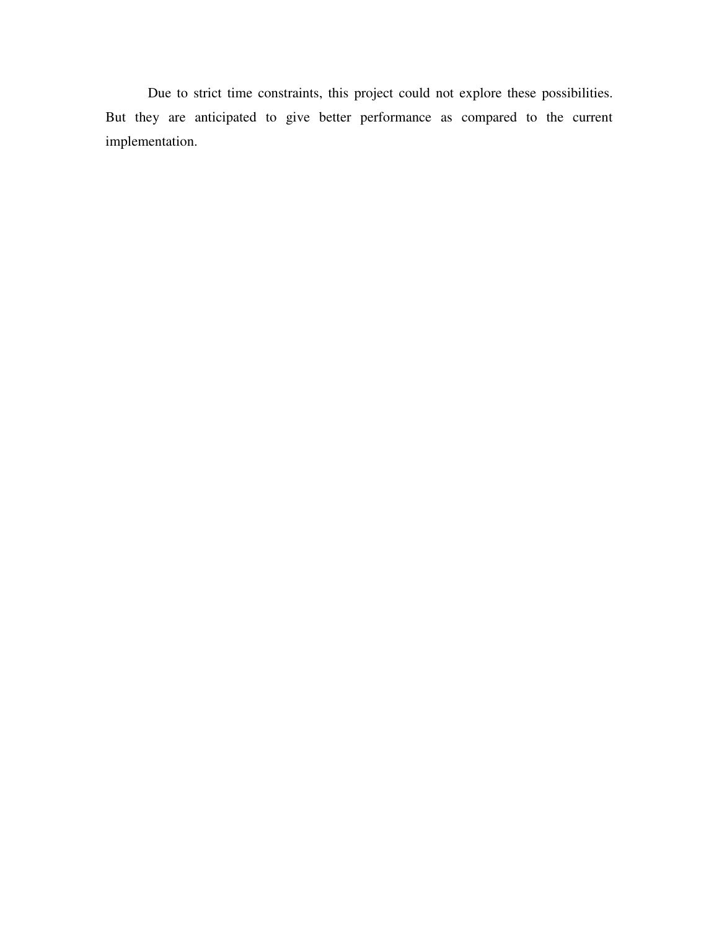Due to strict time constraints, this project could not explore these possibilities. But they are anticipated to give better performance as compared to the current implementation.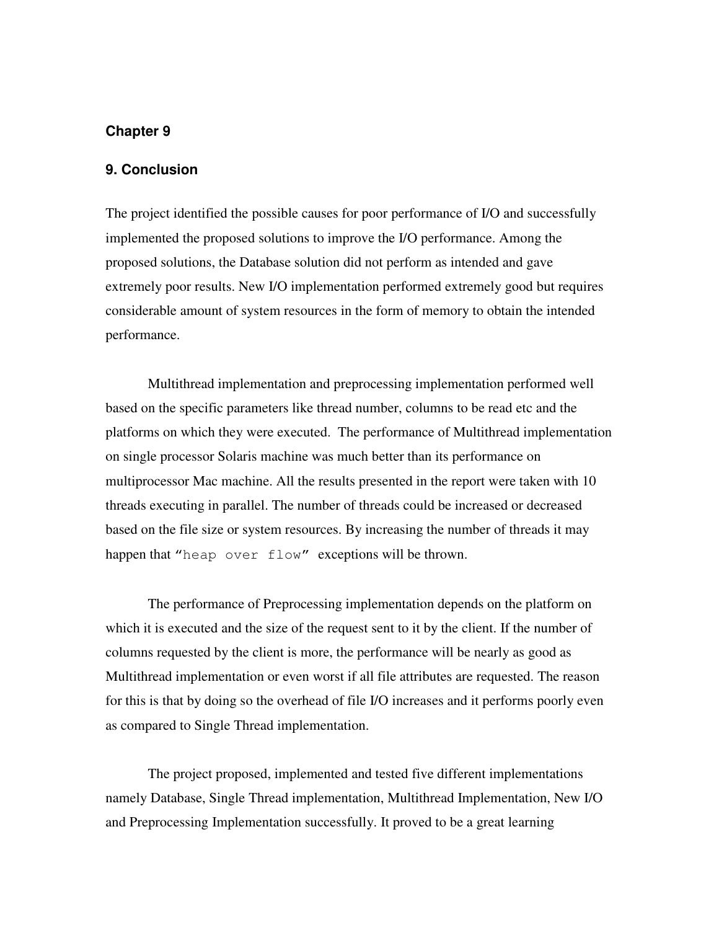#### **9. Conclusion**

The project identified the possible causes for poor performance of I/O and successfully implemented the proposed solutions to improve the I/O performance. Among the proposed solutions, the Database solution did not perform as intended and gave extremely poor results. New I/O implementation performed extremely good but requires considerable amount of system resources in the form of memory to obtain the intended performance.

Multithread implementation and preprocessing implementation performed well based on the specific parameters like thread number, columns to be read etc and the platforms on which they were executed. The performance of Multithread implementation on single processor Solaris machine was much better than its performance on multiprocessor Mac machine. All the results presented in the report were taken with 10 threads executing in parallel. The number of threads could be increased or decreased based on the file size or system resources. By increasing the number of threads it may happen that "heap over flow" exceptions will be thrown.

The performance of Preprocessing implementation depends on the platform on which it is executed and the size of the request sent to it by the client. If the number of columns requested by the client is more, the performance will be nearly as good as Multithread implementation or even worst if all file attributes are requested. The reason for this is that by doing so the overhead of file I/O increases and it performs poorly even as compared to Single Thread implementation.

The project proposed, implemented and tested five different implementations namely Database, Single Thread implementation, Multithread Implementation, New I/O and Preprocessing Implementation successfully. It proved to be a great learning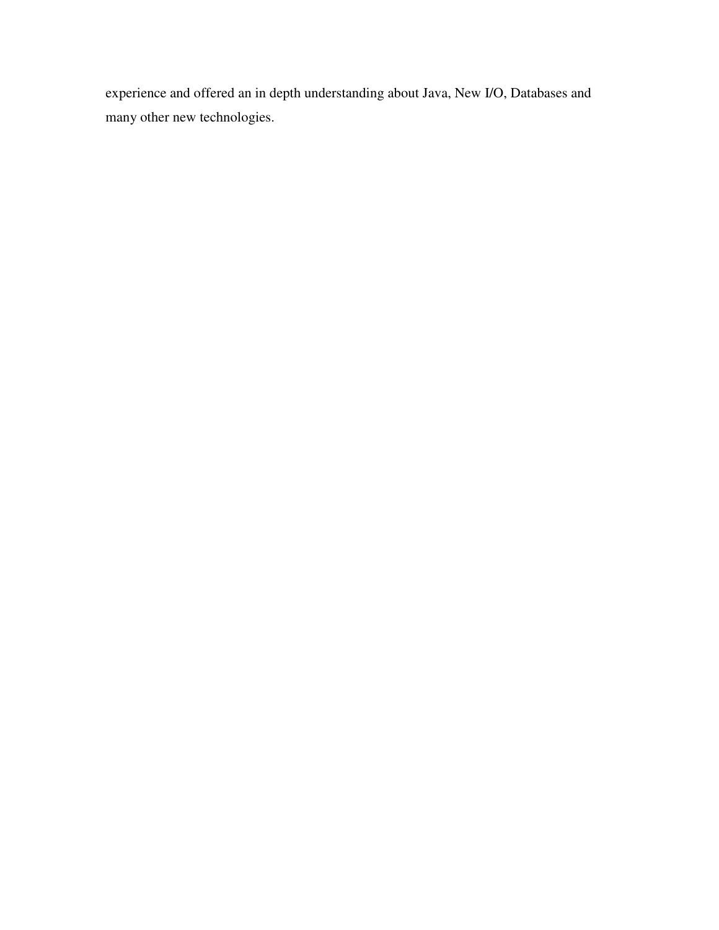experience and offered an in depth understanding about Java, New I/O, Databases and many other new technologies.